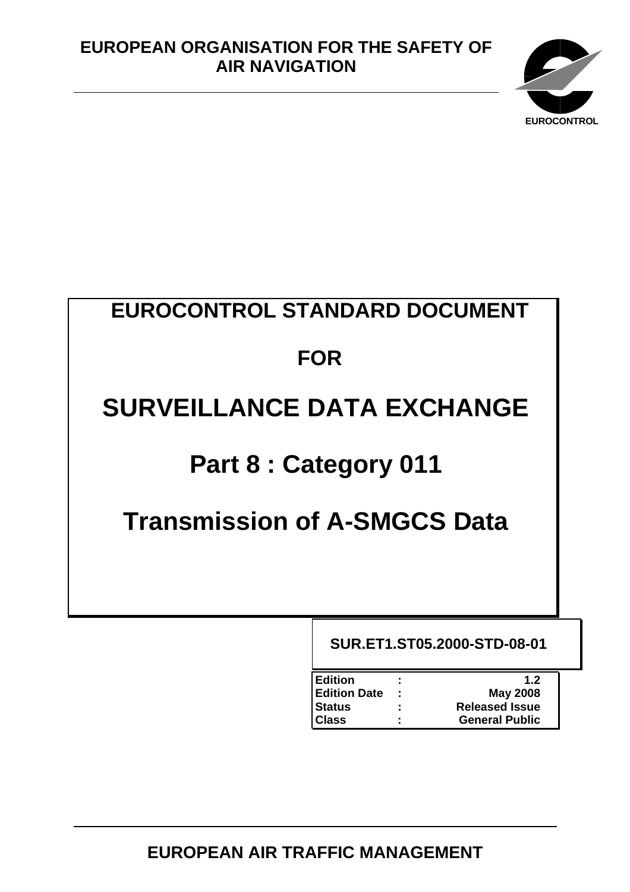

# **EUROCONTROL STANDARD DOCUMENT FOR SURVEILLANCE DATA EXCHANGE**

# **Part 8 : Category 011**

# **Transmission of A-SMGCS Data**

**SUR.ET1.ST05.2000-STD-08-01** 

| <b>I</b> Edition    | ٠  | 1.2                   |
|---------------------|----|-----------------------|
| <b>Edition Date</b> | ÷. | <b>May 2008</b>       |
| <b>Status</b>       |    | <b>Released Issue</b> |
| <b>Class</b>        | ٠  | <b>General Public</b> |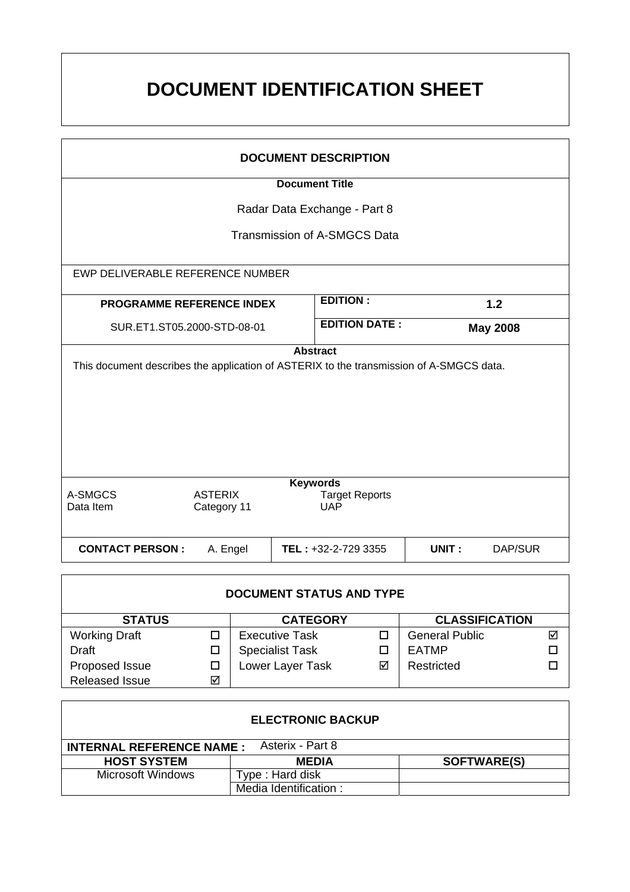# **DOCUMENT IDENTIFICATION SHEET**

| <b>DOCUMENT DESCRIPTION</b>                                                             |                               |  |                                     |       |                 |  |  |  |  |  |
|-----------------------------------------------------------------------------------------|-------------------------------|--|-------------------------------------|-------|-----------------|--|--|--|--|--|
| <b>Document Title</b>                                                                   |                               |  |                                     |       |                 |  |  |  |  |  |
| Radar Data Exchange - Part 8                                                            |                               |  |                                     |       |                 |  |  |  |  |  |
| <b>Transmission of A-SMGCS Data</b>                                                     |                               |  |                                     |       |                 |  |  |  |  |  |
| EWP DELIVERABLE REFERENCE NUMBER                                                        |                               |  |                                     |       |                 |  |  |  |  |  |
| <b>PROGRAMME REFERENCE INDEX</b>                                                        |                               |  | <b>EDITION:</b>                     |       | 1.2             |  |  |  |  |  |
|                                                                                         | SUR.ET1.ST05.2000-STD-08-01   |  | <b>EDITION DATE:</b>                |       | <b>May 2008</b> |  |  |  |  |  |
| This document describes the application of ASTERIX to the transmission of A-SMGCS data. |                               |  |                                     |       |                 |  |  |  |  |  |
|                                                                                         |                               |  | <b>Keywords</b>                     |       |                 |  |  |  |  |  |
| A-SMGCS<br>Data Item                                                                    | <b>ASTERIX</b><br>Category 11 |  | <b>Target Reports</b><br><b>UAP</b> |       |                 |  |  |  |  |  |
| <b>CONTACT PERSON:</b>                                                                  | A. Engel                      |  | TEL: $+32-2-729$ 3355               | UNIT: | DAP/SUR         |  |  |  |  |  |
|                                                                                         |                               |  | <b>DOCUMENT STATUS AND TYPE</b>     |       |                 |  |  |  |  |  |

| <b>STATUS</b>         |   | <b>CATEGORY</b>         |   | <b>CLASSIFICATION</b> |   |  |  |  |
|-----------------------|---|-------------------------|---|-----------------------|---|--|--|--|
| <b>Working Draft</b>  |   | <b>Executive Task</b>   |   | <b>General Public</b> | ☑ |  |  |  |
| Draft                 |   | <b>Specialist Task</b>  |   | <b>EATMP</b>          |   |  |  |  |
| Proposed Issue        |   | <b>Lower Layer Task</b> | ⊠ | Restricted            |   |  |  |  |
| <b>Released Issue</b> | ⊠ |                         |   |                       |   |  |  |  |

|                                 | <b>ELECTRONIC BACKUP</b> |                    |
|---------------------------------|--------------------------|--------------------|
| <b>INTERNAL REFERENCE NAME:</b> | Asterix - Part 8         |                    |
| <b>HOST SYSTEM</b>              | <b>MEDIA</b>             | <b>SOFTWARE(S)</b> |
| Microsoft Windows               | Type: Hard disk          |                    |
|                                 | Media Identification:    |                    |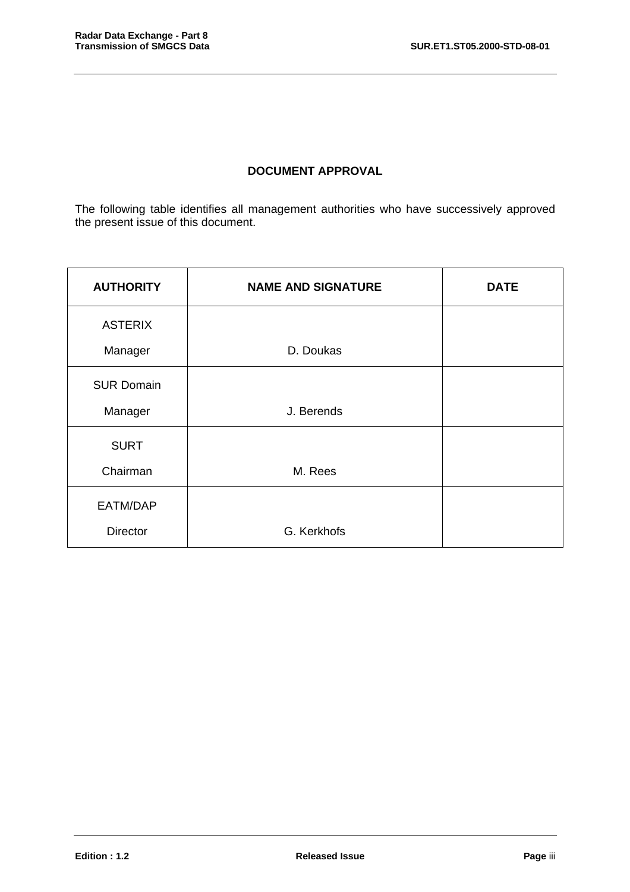# **DOCUMENT APPROVAL**

The following table identifies all management authorities who have successively approved the present issue of this document.

| <b>AUTHORITY</b>  | <b>NAME AND SIGNATURE</b> | <b>DATE</b> |
|-------------------|---------------------------|-------------|
| <b>ASTERIX</b>    |                           |             |
| Manager           | D. Doukas                 |             |
| <b>SUR Domain</b> |                           |             |
| Manager           | J. Berends                |             |
| <b>SURT</b>       |                           |             |
| Chairman          | M. Rees                   |             |
| EATM/DAP          |                           |             |
| <b>Director</b>   | G. Kerkhofs               |             |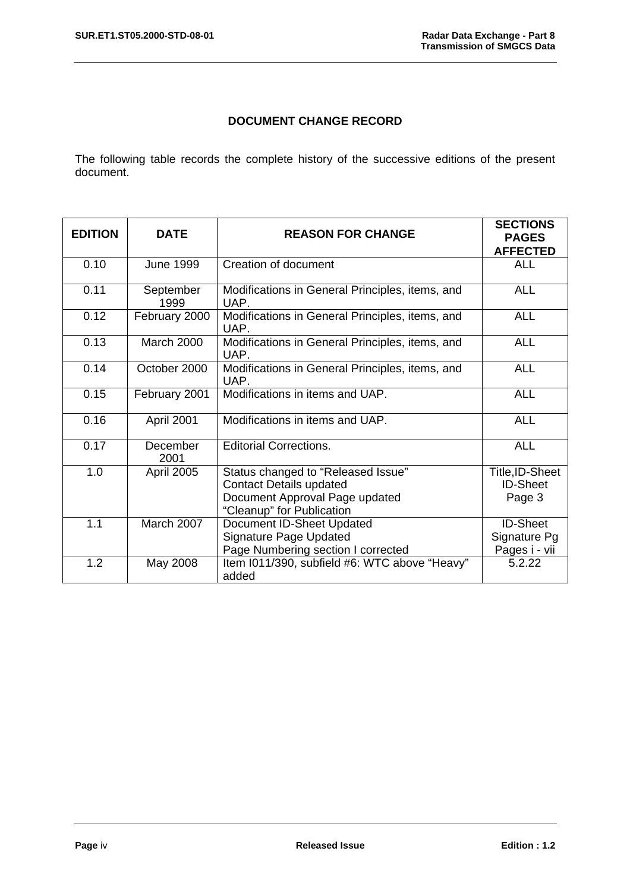### **DOCUMENT CHANGE RECORD**

The following table records the complete history of the successive editions of the present document.

| <b>EDITION</b> | <b>DATE</b>       | <b>REASON FOR CHANGE</b>                                                                                                            | <b>SECTIONS</b><br><b>PAGES</b><br><b>AFFECTED</b> |
|----------------|-------------------|-------------------------------------------------------------------------------------------------------------------------------------|----------------------------------------------------|
| 0.10           | <b>June 1999</b>  | Creation of document                                                                                                                | <b>ALL</b>                                         |
| 0.11           | September<br>1999 | Modifications in General Principles, items, and<br>UAP.                                                                             | <b>ALL</b>                                         |
| 0.12           | February 2000     | Modifications in General Principles, items, and<br>UAP.                                                                             | <b>ALL</b>                                         |
| 0.13           | <b>March 2000</b> | Modifications in General Principles, items, and<br>UAP.                                                                             | <b>ALL</b>                                         |
| 0.14           | October 2000      | Modifications in General Principles, items, and<br>UAP.                                                                             | <b>ALL</b>                                         |
| 0.15           | February 2001     | Modifications in items and UAP.                                                                                                     | <b>ALL</b>                                         |
| 0.16           | April 2001        | Modifications in items and UAP.                                                                                                     | <b>ALL</b>                                         |
| 0.17           | December<br>2001  | <b>Editorial Corrections.</b>                                                                                                       | <b>ALL</b>                                         |
| 1.0            | April 2005        | Status changed to "Released Issue"<br><b>Contact Details updated</b><br>Document Approval Page updated<br>"Cleanup" for Publication | Title, ID-Sheet<br><b>ID-Sheet</b><br>Page 3       |
| 1.1            | March 2007        | Document ID-Sheet Updated<br><b>Signature Page Updated</b><br>Page Numbering section I corrected                                    | <b>ID-Sheet</b><br>Signature Pg<br>Pages i - vii   |
| 1.2            | May 2008          | Item I011/390, subfield #6: WTC above "Heavy"<br>added                                                                              | 5.2.22                                             |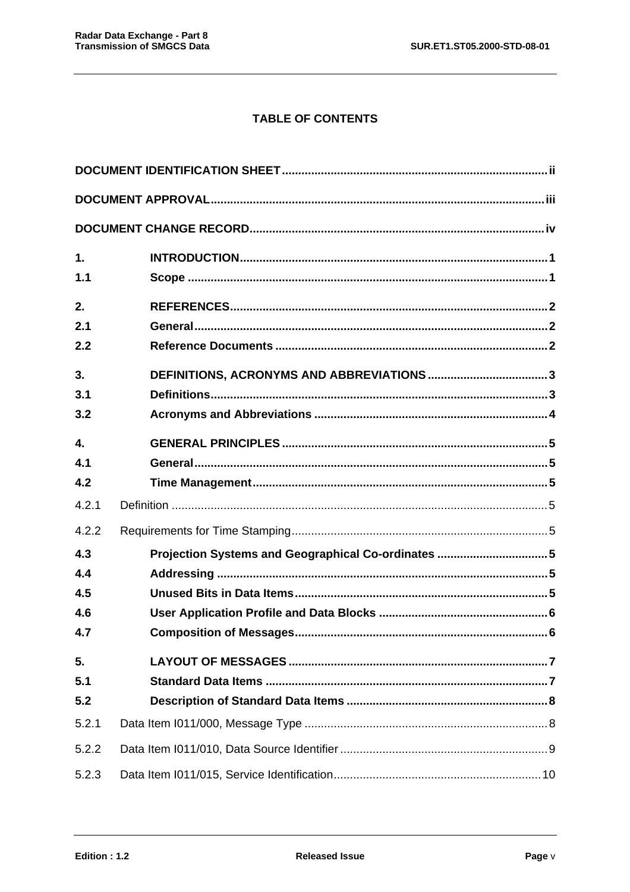# **TABLE OF CONTENTS**

| 1.    |                                                    |
|-------|----------------------------------------------------|
| 1.1   |                                                    |
| 2.    |                                                    |
| 2.1   |                                                    |
| 2.2   |                                                    |
| 3.    |                                                    |
| 3.1   |                                                    |
| 3.2   |                                                    |
| 4.    |                                                    |
| 4.1   |                                                    |
| 4.2   |                                                    |
| 4.2.1 |                                                    |
| 4.2.2 |                                                    |
| 4.3   | Projection Systems and Geographical Co-ordinates 5 |
| 4.4   |                                                    |
| 4.5   |                                                    |
| 4.6   |                                                    |
| 4.7   |                                                    |
| 5.    |                                                    |
| 5.1   |                                                    |
| 5.2   |                                                    |
| 5.2.1 |                                                    |
| 5.2.2 |                                                    |
| 5.2.3 |                                                    |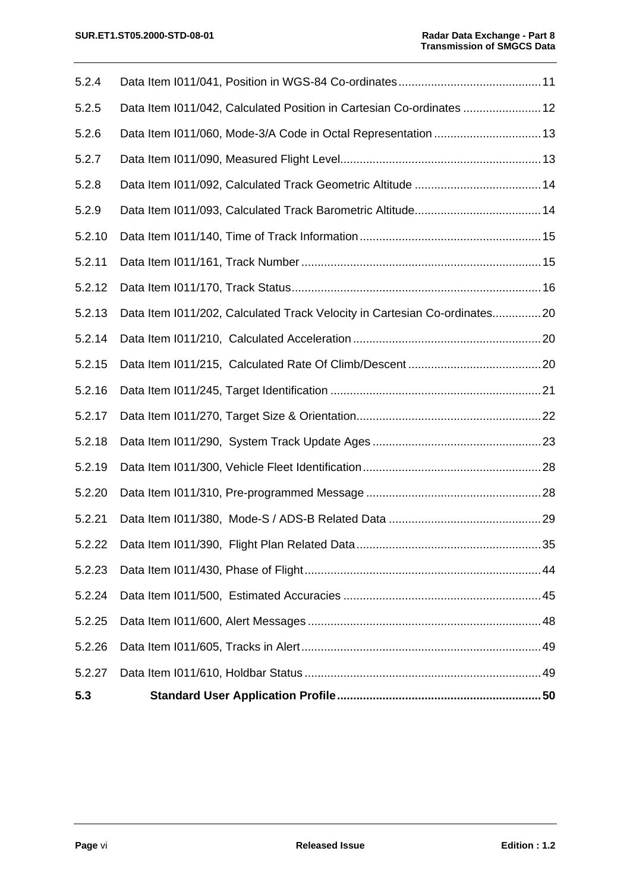| 5.3    |                                                                           |  |
|--------|---------------------------------------------------------------------------|--|
| 5.2.27 |                                                                           |  |
| 5.2.26 |                                                                           |  |
| 5.2.25 |                                                                           |  |
| 5.2.24 |                                                                           |  |
| 5.2.23 |                                                                           |  |
| 5.2.22 |                                                                           |  |
| 5.2.21 |                                                                           |  |
| 5.2.20 |                                                                           |  |
| 5.2.19 |                                                                           |  |
| 5.2.18 |                                                                           |  |
| 5.2.17 |                                                                           |  |
| 5.2.16 |                                                                           |  |
| 5.2.15 |                                                                           |  |
| 5.2.14 |                                                                           |  |
| 5.2.13 | Data Item I011/202, Calculated Track Velocity in Cartesian Co-ordinates20 |  |
| 5.2.12 |                                                                           |  |
| 5.2.11 |                                                                           |  |
| 5.2.10 |                                                                           |  |
| 5.2.9  |                                                                           |  |
| 5.2.8  |                                                                           |  |
| 5.2.7  |                                                                           |  |
| 5.2.6  | Data Item I011/060, Mode-3/A Code in Octal Representation  13             |  |
| 5.2.5  | Data Item I011/042, Calculated Position in Cartesian Co-ordinates  12     |  |
| 5.2.4  |                                                                           |  |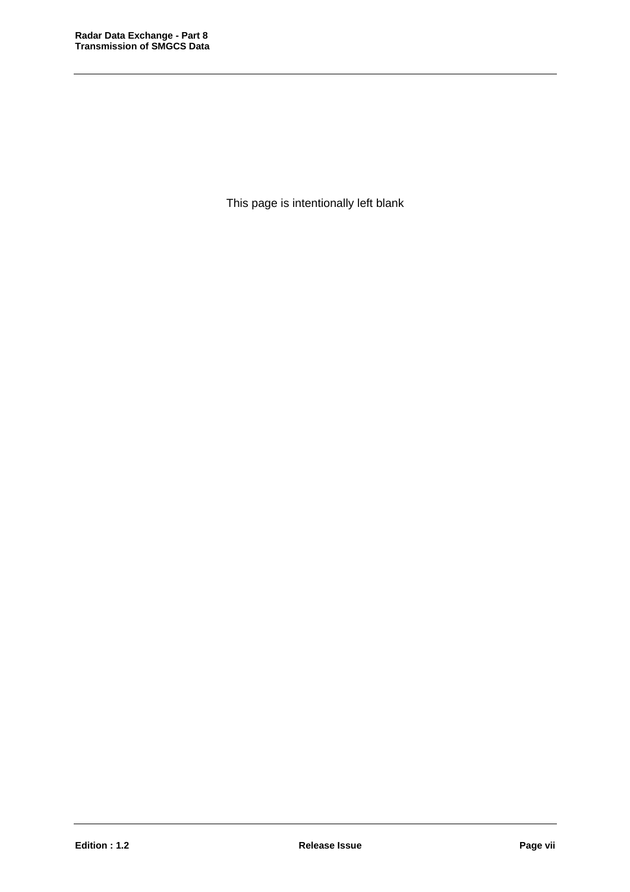This page is intentionally left blank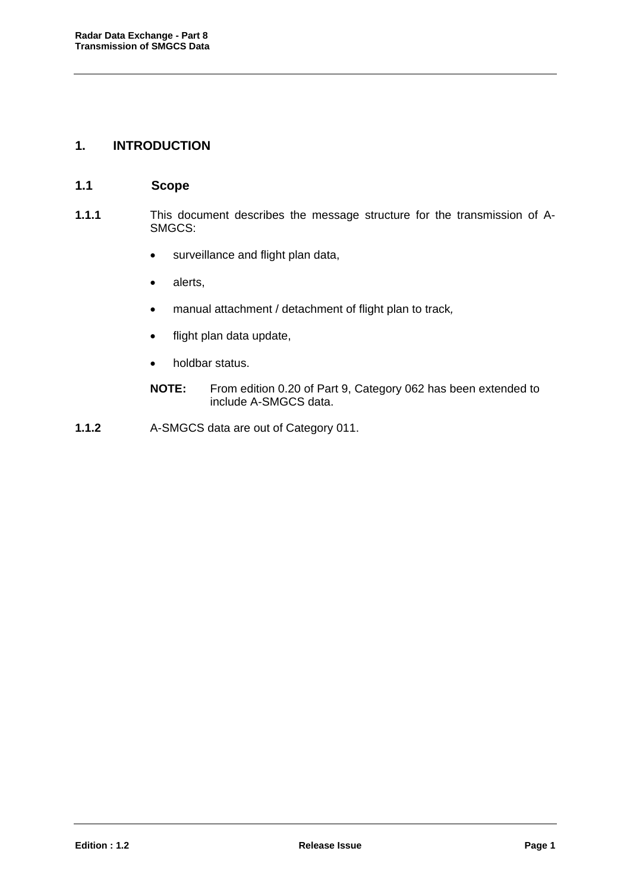# **1. INTRODUCTION**

#### **1.1 Scope**

- **1.1.1** This document describes the message structure for the transmission of A-SMGCS:
	- surveillance and flight plan data,
	- alerts,
	- manual attachment / detachment of flight plan to track*,*
	- flight plan data update,
	- holdbar status.
	- **NOTE:** From edition 0.20 of Part 9, Category 062 has been extended to include A-SMGCS data.
- **1.1.2** A-SMGCS data are out of Category 011.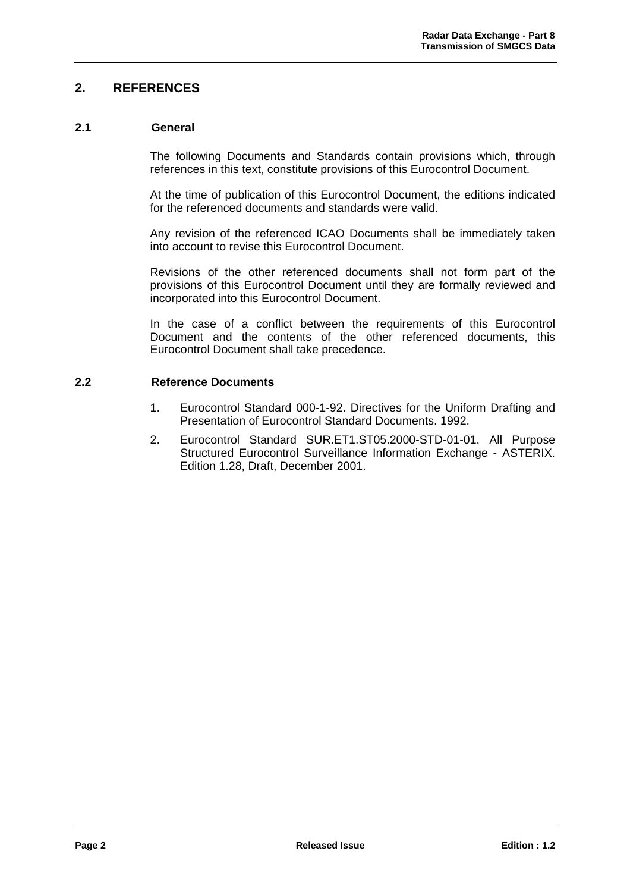#### **2. REFERENCES**

#### **2.1 General**

 The following Documents and Standards contain provisions which, through references in this text, constitute provisions of this Eurocontrol Document.

 At the time of publication of this Eurocontrol Document, the editions indicated for the referenced documents and standards were valid.

 Any revision of the referenced ICAO Documents shall be immediately taken into account to revise this Eurocontrol Document.

 Revisions of the other referenced documents shall not form part of the provisions of this Eurocontrol Document until they are formally reviewed and incorporated into this Eurocontrol Document.

 In the case of a conflict between the requirements of this Eurocontrol Document and the contents of the other referenced documents, this Eurocontrol Document shall take precedence.

#### **2.2 Reference Documents**

- 1. Eurocontrol Standard 000-1-92. Directives for the Uniform Drafting and Presentation of Eurocontrol Standard Documents. 1992.
- 2. Eurocontrol Standard SUR.ET1.ST05.2000-STD-01-01. All Purpose Structured Eurocontrol Surveillance Information Exchange - ASTERIX. Edition 1.28, Draft, December 2001.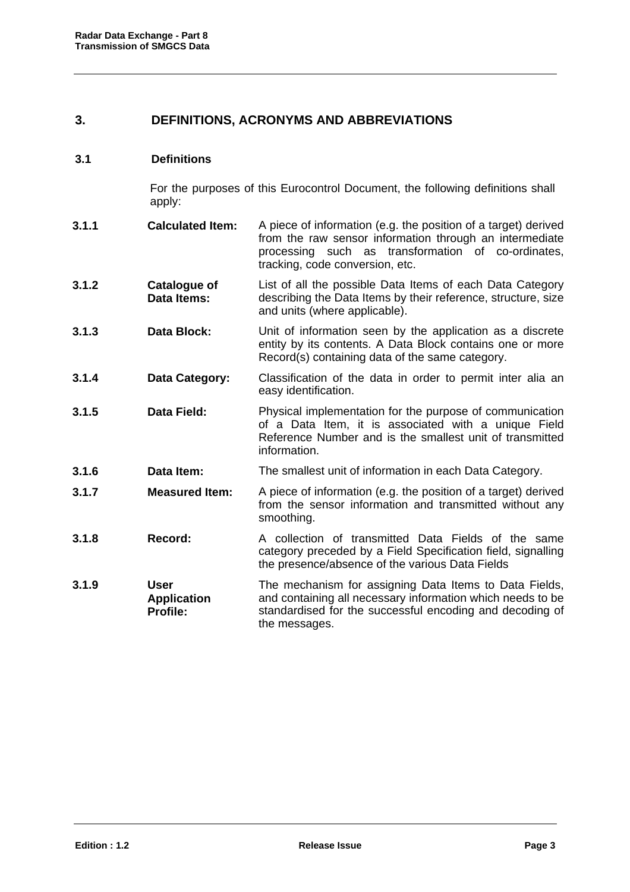#### **3. DEFINITIONS, ACRONYMS AND ABBREVIATIONS**

#### **3.1 Definitions**

 For the purposes of this Eurocontrol Document, the following definitions shall apply:

- **3.1.1 Calculated Item:** A piece of information (e.g. the position of a target) derived from the raw sensor information through an intermediate processing such as transformation of co-ordinates, tracking, code conversion, etc.
- **3.1.2 Catalogue of Data Items:**  List of all the possible Data Items of each Data Category describing the Data Items by their reference, structure, size and units (where applicable).
- **3.1.3 Data Block:** Unit of information seen by the application as a discrete entity by its contents. A Data Block contains one or more Record(s) containing data of the same category.
- **3.1.4 Data Category:** Classification of the data in order to permit inter alia an easy identification.
- **3.1.5 Data Field:** Physical implementation for the purpose of communication of a Data Item, it is associated with a unique Field Reference Number and is the smallest unit of transmitted information.
- **3.1.6 Data Item:** The smallest unit of information in each Data Category.
- **3.1.7 Measured Item:** A piece of information (e.g. the position of a target) derived from the sensor information and transmitted without any smoothing.
- **3.1.8 Record:** A collection of transmitted Data Fields of the same category preceded by a Field Specification field, signalling the presence/absence of the various Data Fields
- **3.1.9 User Application Profile:**  The mechanism for assigning Data Items to Data Fields, and containing all necessary information which needs to be standardised for the successful encoding and decoding of the messages.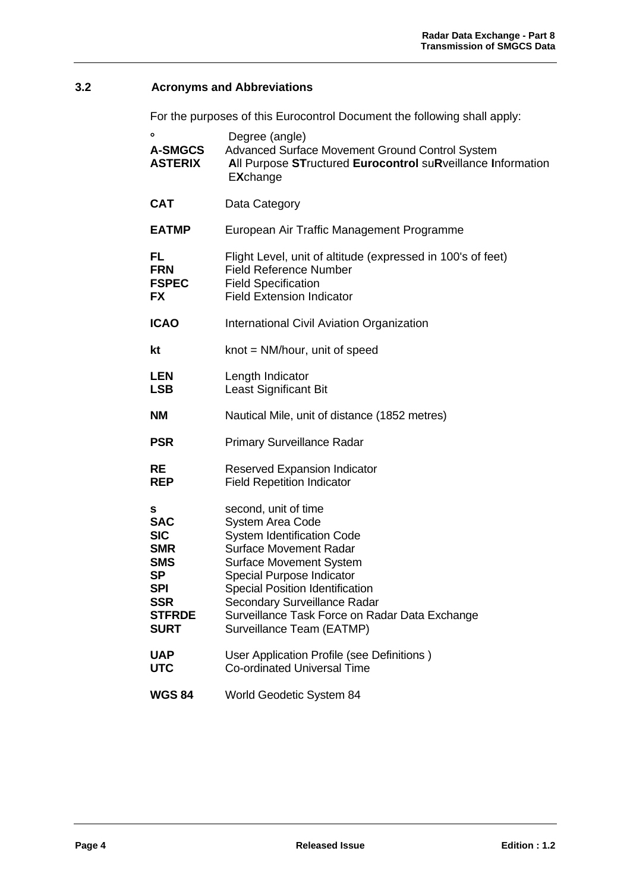#### **3.2 Acronyms and Abbreviations**

For the purposes of this Eurocontrol Document the following shall apply:

| ۰<br><b>A-SMGCS</b><br><b>ASTERIX</b>                                                                                              | Degree (angle)<br>Advanced Surface Movement Ground Control System<br>All Purpose STructured Eurocontrol suRveillance Information<br><b>EXchange</b>                                                                                                                                                                                           |
|------------------------------------------------------------------------------------------------------------------------------------|-----------------------------------------------------------------------------------------------------------------------------------------------------------------------------------------------------------------------------------------------------------------------------------------------------------------------------------------------|
| <b>CAT</b>                                                                                                                         | Data Category                                                                                                                                                                                                                                                                                                                                 |
| <b>EATMP</b>                                                                                                                       | European Air Traffic Management Programme                                                                                                                                                                                                                                                                                                     |
| FL<br><b>FRN</b><br><b>FSPEC</b><br><b>FX</b>                                                                                      | Flight Level, unit of altitude (expressed in 100's of feet)<br><b>Field Reference Number</b><br><b>Field Specification</b><br><b>Field Extension Indicator</b>                                                                                                                                                                                |
| <b>ICAO</b>                                                                                                                        | International Civil Aviation Organization                                                                                                                                                                                                                                                                                                     |
| kt                                                                                                                                 | knot = NM/hour, unit of speed                                                                                                                                                                                                                                                                                                                 |
| <b>LEN</b><br><b>LSB</b>                                                                                                           | Length Indicator<br><b>Least Significant Bit</b>                                                                                                                                                                                                                                                                                              |
| <b>NM</b>                                                                                                                          | Nautical Mile, unit of distance (1852 metres)                                                                                                                                                                                                                                                                                                 |
| <b>PSR</b>                                                                                                                         | <b>Primary Surveillance Radar</b>                                                                                                                                                                                                                                                                                                             |
| <b>RE</b><br><b>REP</b>                                                                                                            | <b>Reserved Expansion Indicator</b><br><b>Field Repetition Indicator</b>                                                                                                                                                                                                                                                                      |
| s<br><b>SAC</b><br><b>SIC</b><br><b>SMR</b><br><b>SMS</b><br><b>SP</b><br><b>SPI</b><br><b>SSR</b><br><b>STFRDE</b><br><b>SURT</b> | second, unit of time<br>System Area Code<br><b>System Identification Code</b><br><b>Surface Movement Radar</b><br><b>Surface Movement System</b><br>Special Purpose Indicator<br><b>Special Position Identification</b><br><b>Secondary Surveillance Radar</b><br>Surveillance Task Force on Radar Data Exchange<br>Surveillance Team (EATMP) |
| <b>UAP</b><br><b>UTC</b>                                                                                                           | User Application Profile (see Definitions)<br><b>Co-ordinated Universal Time</b>                                                                                                                                                                                                                                                              |
| <b>WGS 84</b>                                                                                                                      | World Geodetic System 84                                                                                                                                                                                                                                                                                                                      |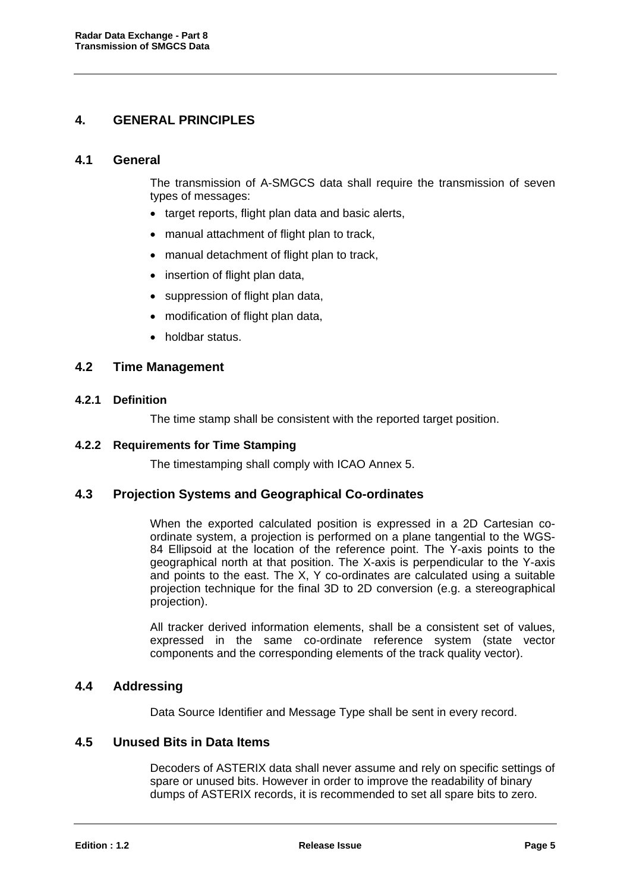#### **4. GENERAL PRINCIPLES**

#### **4.1 General**

 The transmission of A-SMGCS data shall require the transmission of seven types of messages:

- target reports, flight plan data and basic alerts,
- manual attachment of flight plan to track,
- manual detachment of flight plan to track,
- insertion of flight plan data,
- suppression of flight plan data,
- modification of flight plan data,
- holdbar status.

#### **4.2 Time Management**

#### **4.2.1 Definition**

The time stamp shall be consistent with the reported target position.

#### **4.2.2 Requirements for Time Stamping**

The timestamping shall comply with ICAO Annex 5.

#### **4.3 Projection Systems and Geographical Co-ordinates**

When the exported calculated position is expressed in a 2D Cartesian coordinate system, a projection is performed on a plane tangential to the WGS-84 Ellipsoid at the location of the reference point. The Y-axis points to the geographical north at that position. The X-axis is perpendicular to the Y-axis and points to the east. The X, Y co-ordinates are calculated using a suitable projection technique for the final 3D to 2D conversion (e.g. a stereographical projection).

All tracker derived information elements, shall be a consistent set of values, expressed in the same co-ordinate reference system (state vector components and the corresponding elements of the track quality vector).

#### **4.4 Addressing**

Data Source Identifier and Message Type shall be sent in every record.

### **4.5 Unused Bits in Data Items**

Decoders of ASTERIX data shall never assume and rely on specific settings of spare or unused bits. However in order to improve the readability of binary dumps of ASTERIX records, it is recommended to set all spare bits to zero.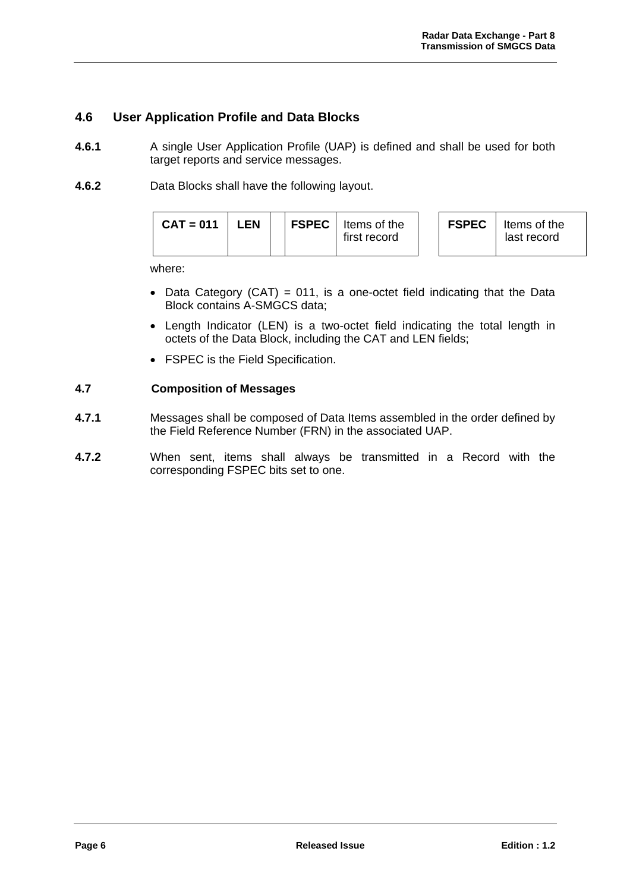#### **4.6 User Application Profile and Data Blocks**

- **4.6.1** A single User Application Profile (UAP) is defined and shall be used for both target reports and service messages.
- **4.6.2** Data Blocks shall have the following layout.

| $CAT = 011$ | <b>FSPEC</b>   Items of the | <b>FSPEC</b> | Items of the |
|-------------|-----------------------------|--------------|--------------|
| LEN         | first record                |              | last record  |

where:

- Data Category (CAT) = 011, is a one-octet field indicating that the Data Block contains A-SMGCS data;
- Length Indicator (LEN) is a two-octet field indicating the total length in octets of the Data Block, including the CAT and LEN fields;
- FSPEC is the Field Specification.

#### **4.7 Composition of Messages**

- **4.7.1** Messages shall be composed of Data Items assembled in the order defined by the Field Reference Number (FRN) in the associated UAP.
- **4.7.2** When sent, items shall always be transmitted in a Record with the corresponding FSPEC bits set to one.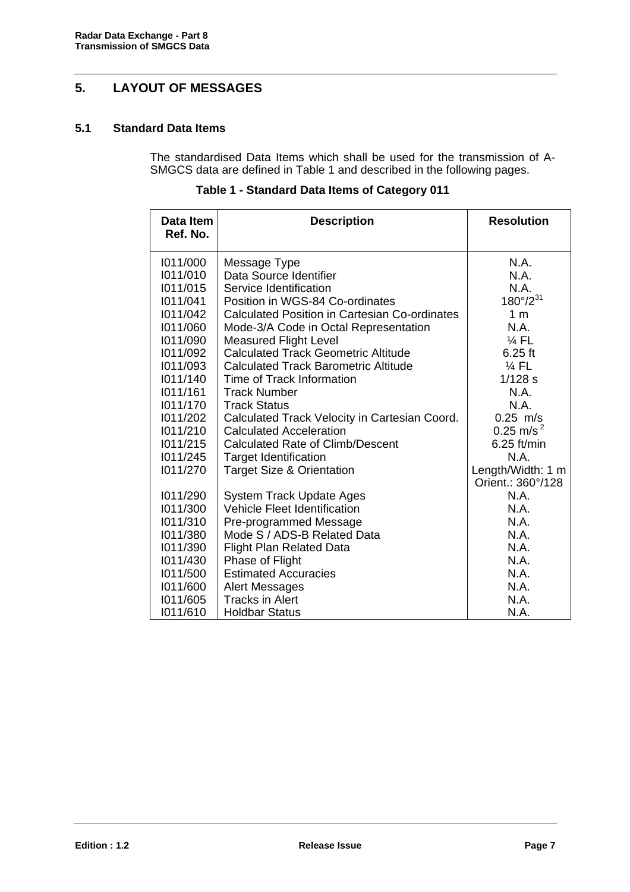# **5. LAYOUT OF MESSAGES**

#### **5.1 Standard Data Items**

 The standardised Data Items which shall be used for the transmission of A-SMGCS data are defined in Table 1 and described in the following pages.

 **Table 1 - Standard Data Items of Category 011** 

| Data Item<br>Ref. No. | <b>Description</b>                                   | <b>Resolution</b>       |
|-----------------------|------------------------------------------------------|-------------------------|
| 1011/000              | Message Type                                         | N.A.                    |
| 1011/010              | Data Source Identifier                               | N.A.                    |
| 1011/015              | Service Identification                               | N.A.                    |
| 1011/041              | Position in WGS-84 Co-ordinates                      | $180^{\circ}/2^{31}$    |
| 1011/042              | <b>Calculated Position in Cartesian Co-ordinates</b> | 1 <sub>m</sub>          |
| 1011/060              | Mode-3/A Code in Octal Representation                | N.A.                    |
| 1011/090              | <b>Measured Flight Level</b>                         | $\frac{1}{4}$ FL        |
| 1011/092              | <b>Calculated Track Geometric Altitude</b>           | $6.25$ ft               |
| 1011/093              | <b>Calculated Track Barometric Altitude</b>          | $\frac{1}{4}$ FL        |
| 1011/140              | Time of Track Information                            | $1/128$ s               |
| 1011/161              | <b>Track Number</b>                                  | N.A.                    |
| 1011/170              | <b>Track Status</b>                                  | N.A.                    |
| 1011/202              | Calculated Track Velocity in Cartesian Coord.        | $0.25$ m/s              |
| 1011/210              | <b>Calculated Acceleration</b>                       | $0.25$ m/s <sup>2</sup> |
| 1011/215              | Calculated Rate of Climb/Descent                     | $6.25$ ft/min           |
| 1011/245              | <b>Target Identification</b>                         | N.A.                    |
| 1011/270              | <b>Target Size &amp; Orientation</b>                 | Length/Width: 1 m       |
|                       |                                                      | Orient.: 360°/128       |
| 1011/290              | <b>System Track Update Ages</b>                      | N.A.                    |
| 1011/300              | <b>Vehicle Fleet Identification</b>                  | N.A.                    |
| 1011/310              | Pre-programmed Message                               | N.A.                    |
| 1011/380              | Mode S / ADS-B Related Data                          | N.A.                    |
| 1011/390              | Flight Plan Related Data                             | N.A.                    |
| 1011/430              | Phase of Flight                                      | N.A.                    |
| 1011/500              | <b>Estimated Accuracies</b>                          | N.A.                    |
| 1011/600              | <b>Alert Messages</b>                                | N.A.                    |
| 1011/605              | <b>Tracks in Alert</b>                               | N.A.                    |
| 1011/610              | <b>Holdbar Status</b>                                | N.A.                    |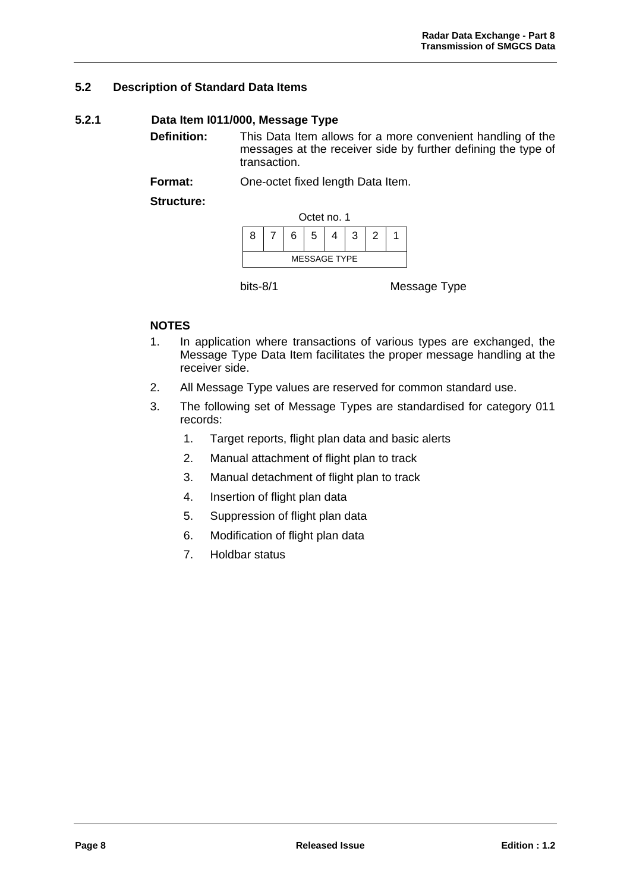#### **5.2 Description of Standard Data Items**

#### **5.2.1 Data Item I011/000, Message Type**

**Definition:** This Data Item allows for a more convenient handling of the messages at the receiver side by further defining the type of transaction.

**Format:** One-octet fixed length Data Item.

 **Structure:** 



bits-8/1 Message Type

#### **NOTES**

- 1. In application where transactions of various types are exchanged, the Message Type Data Item facilitates the proper message handling at the receiver side.
- 2. All Message Type values are reserved for common standard use.
- 3. The following set of Message Types are standardised for category 011 records:
	- 1. Target reports, flight plan data and basic alerts
	- 2. Manual attachment of flight plan to track
	- 3. Manual detachment of flight plan to track
	- 4. Insertion of flight plan data
	- 5. Suppression of flight plan data
	- 6. Modification of flight plan data
	- 7. Holdbar status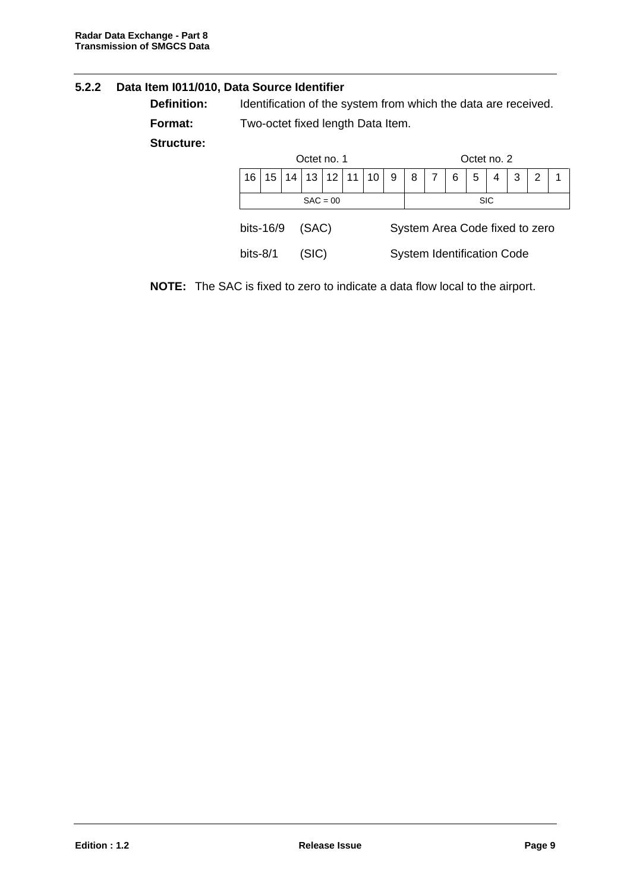#### **5.2.2 Data Item I011/010, Data Source Identifier**

**Definition:** Identification of the system from which the data are received. **Format:** Two-octet fixed length Data Item.

 **Structure:** 

| Octet no. 1                        |    |  |         |  | Octet no. 2 |                                |                                   |  |   |   |   |   |   |  |  |
|------------------------------------|----|--|---------|--|-------------|--------------------------------|-----------------------------------|--|---|---|---|---|---|--|--|
| 16 <sub>1</sub><br>15 <sup>1</sup> | 14 |  | $13$ 12 |  | 11 10       | 9                              | 8                                 |  | 6 | 5 | 4 | 3 | ာ |  |  |
| $SAC = 00$                         |    |  |         |  |             | <b>SIC</b>                     |                                   |  |   |   |   |   |   |  |  |
| bits-16/9<br>(SAC)                 |    |  |         |  |             | System Area Code fixed to zero |                                   |  |   |   |   |   |   |  |  |
| bits- $8/1$<br>(SIC)               |    |  |         |  |             |                                | <b>System Identification Code</b> |  |   |   |   |   |   |  |  |

**NOTE:** The SAC is fixed to zero to indicate a data flow local to the airport.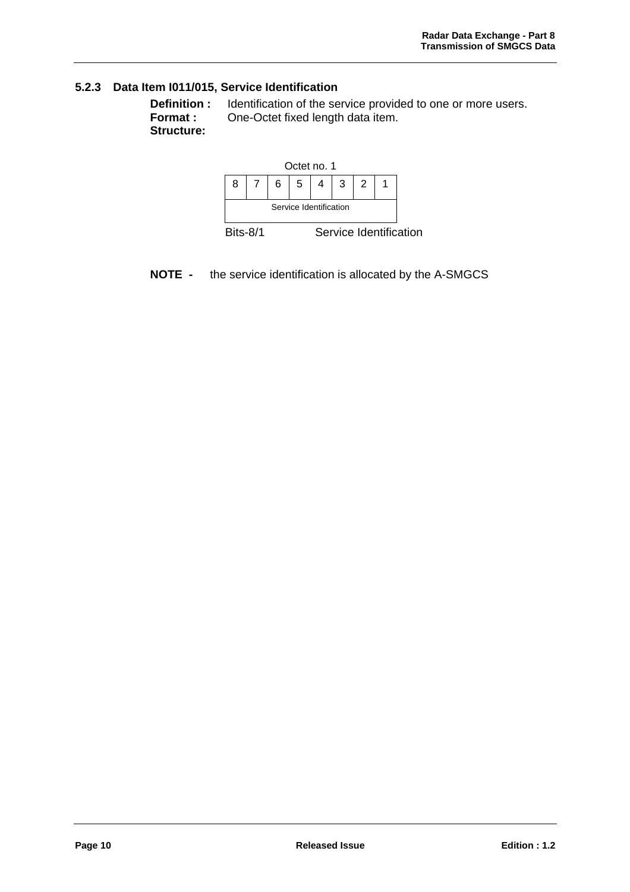#### **5.2.3 Data Item I011/015, Service Identification**

**Structure:** 

**Definition :** Identification of the service provided to one or more users. **Format :** One-Octet fixed length data item.



**NOTE -** the service identification is allocated by the A-SMGCS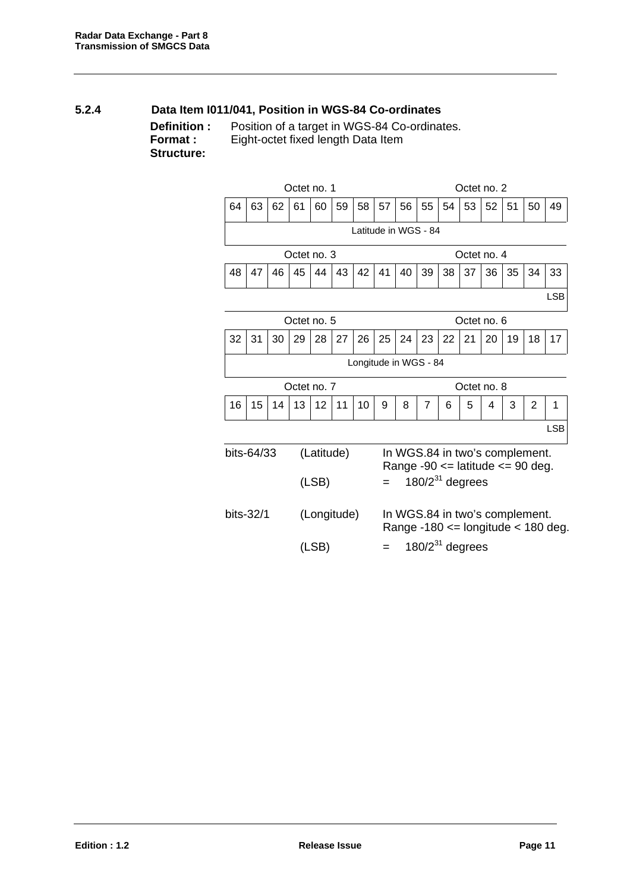**5.2.4 Data Item I011/041, Position in WGS-84 Co-ordinates Definition :** Position of a target in WGS-84 Co-ordinates. **Format :** Eight-octet fixed length Data Item **Structure:** 

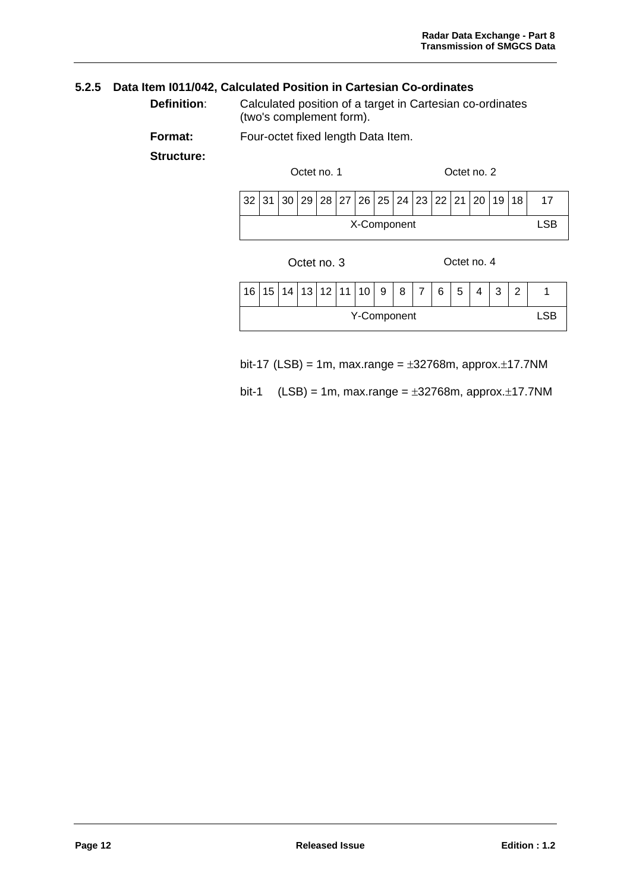#### **5.2.5 Data Item I011/042, Calculated Position in Cartesian Co-ordinates**

 **Definition**: Calculated position of a target in Cartesian co-ordinates (two's complement form).

**Format:** Four-octet fixed length Data Item.

 **Structure:** 

Octet no. 1 Octet no. 2



|                                              | Octet no. 3 |  |             | Octet no. 4 |  |   |   |   |    |  |     |  |
|----------------------------------------------|-------------|--|-------------|-------------|--|---|---|---|----|--|-----|--|
| 16   15   14   13   12   11   10   9   8   7 |             |  |             |             |  | 6 | 5 | 4 | ્ર |  |     |  |
|                                              |             |  | Y-Component |             |  |   |   |   |    |  | LSB |  |

bit-17 (LSB) = 1m, max.range =  $\pm$ 32768m, approx. $\pm$ 17.7NM

bit-1  $(LSB) = 1m$ , max.range =  $\pm 32768m$ , approx. $\pm 17.7NM$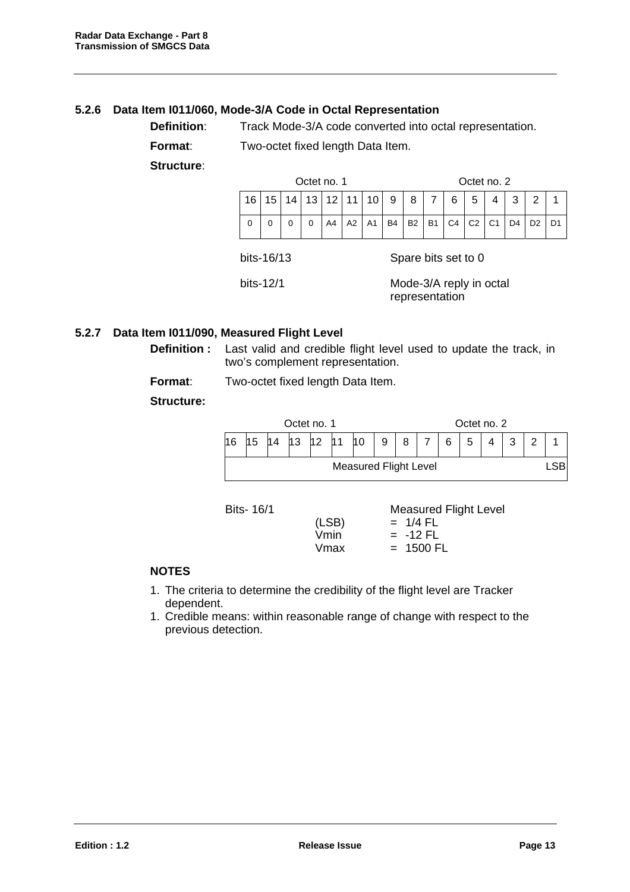#### **5.2.6 Data Item I011/060, Mode-3/A Code in Octal Representation**

**Definition:** Track Mode-3/A code converted into octal representation.

**Format:** Two-octet fixed length Data Item.

 **Structure**:

| Octet no. 1  |    |                 |             |    |    |    |           |           | Octet no. 2 |    |                         |                |    |                |                |
|--------------|----|-----------------|-------------|----|----|----|-----------|-----------|-------------|----|-------------------------|----------------|----|----------------|----------------|
| 16           | 15 | 14 <sub>1</sub> | 13          | 12 | 11 | 10 | 9         | 8         |             | 6  | 5                       | 4              | 3  | 2              |                |
| 0            | 0  | 0               | $\mathbf 0$ | A4 | A2 | A1 | <b>B4</b> | <b>B2</b> | <b>B1</b>   | C4 | C <sub>2</sub>          | C <sub>1</sub> | D4 | D <sub>2</sub> | D <sub>1</sub> |
| bits-16/13   |    |                 |             |    |    |    |           |           |             |    | Spare bits set to 0     |                |    |                |                |
| bits- $12/1$ |    |                 |             |    |    |    |           |           |             |    | Mode-3/A reply in octal |                |    |                |                |

representation

#### **5.2.7 Data Item I011/090, Measured Flight Level**

**Definition :** Last valid and credible flight level used to update the track, in two's complement representation.

**Format:** Two-octet fixed length Data Item.

**Structure:** 



Bits- $16/1$ 

|       | <b>Measured Flight Level</b> |
|-------|------------------------------|
| (LSB) | $= 1/4$ FL                   |
| Vmin  | $= -12$ FL                   |
| Vmax  | $= 1500$ FL                  |
|       |                              |

#### **NOTES**

1. The criteria to determine the credibility of the flight level are Tracker dependent.

1. Credible means: within reasonable range of change with respect to the previous detection.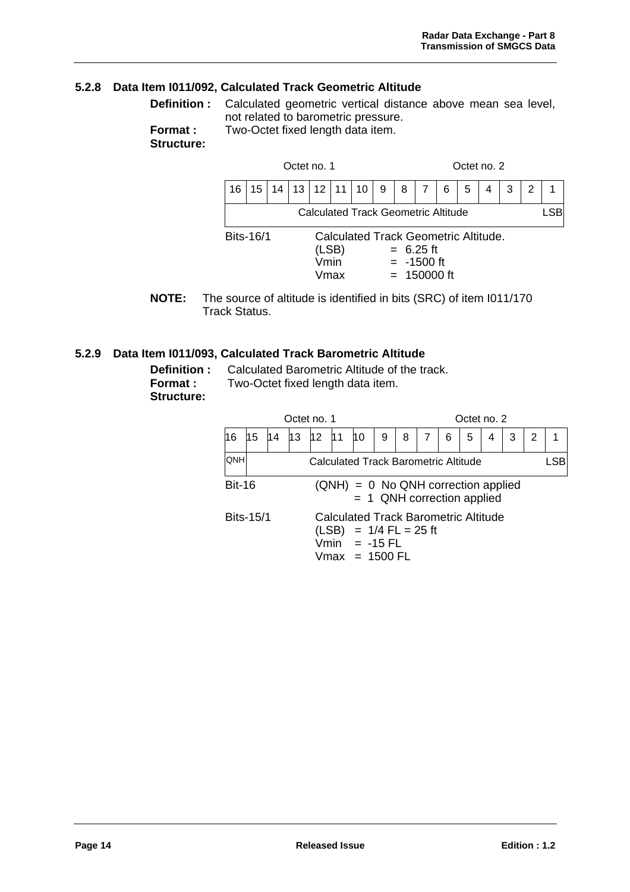#### **5.2.8 Data Item I011/092, Calculated Track Geometric Altitude**

**Definition :** Calculated geometric vertical distance above mean sea level, not related to barometric pressure. **Format :** Two-Octet fixed length data item.

**Structure:** 

|                                     |                  |                                                                                                     |  | Octet no. 1   |      |  |  | Octet no. 2                                  |  |  |  |                                      |  |     |  |  |  |
|-------------------------------------|------------------|-----------------------------------------------------------------------------------------------------|--|---------------|------|--|--|----------------------------------------------|--|--|--|--------------------------------------|--|-----|--|--|--|
| 16                                  | 15               | $11$ 10<br>12 <sup>1</sup><br>9<br>13 <sup>°</sup><br>8<br>5<br>6<br>14 <sup>1</sup><br>7<br>3<br>4 |  |               |      |  |  |                                              |  |  |  |                                      |  |     |  |  |  |
| Calculated Track Geometric Altitude |                  |                                                                                                     |  |               |      |  |  |                                              |  |  |  |                                      |  | LSB |  |  |  |
|                                     | <b>Bits-16/1</b> |                                                                                                     |  | (LSB)<br>Vmin | Vmax |  |  | $= 6.25$ ft<br>$= -1500$ ft<br>$= 150000$ ft |  |  |  | Calculated Track Geometric Altitude. |  |     |  |  |  |

**NOTE:** The source of altitude is identified in bits (SRC) of item I011/170 Track Status.

#### **5.2.9 Data Item I011/093, Calculated Track Barometric Altitude**

**Structure:** 

**Definition :** Calculated Barometric Altitude of the track. **Format :** Two-Octet fixed length data item.

|                                                                                        |    |    |                                             | Octet no. 1                                                 |  |                                                                                                        |  | Octet no. 2 |  |  |  |  |  |  |  |  |
|----------------------------------------------------------------------------------------|----|----|---------------------------------------------|-------------------------------------------------------------|--|--------------------------------------------------------------------------------------------------------|--|-------------|--|--|--|--|--|--|--|--|
| 16                                                                                     | 15 | 14 | 13                                          | $12 \quad 11$<br>10<br>8<br>5<br>9<br>6<br>3<br>7<br>4<br>2 |  |                                                                                                        |  |             |  |  |  |  |  |  |  |  |
| QNH                                                                                    |    |    | Calculated Track Barometric Altitude<br>LSB |                                                             |  |                                                                                                        |  |             |  |  |  |  |  |  |  |  |
| <b>Bit-16</b><br>$(QNH) = 0$ No QNH correction applied<br>$= 1$ QNH correction applied |    |    |                                             |                                                             |  |                                                                                                        |  |             |  |  |  |  |  |  |  |  |
| <b>Bits-15/1</b>                                                                       |    |    |                                             |                                                             |  | Calculated Track Barometric Altitude<br>$(LSB) = 1/4 FL = 25 ft$<br>$Vmin = -15 FL$<br>Vmax =  1500 FL |  |             |  |  |  |  |  |  |  |  |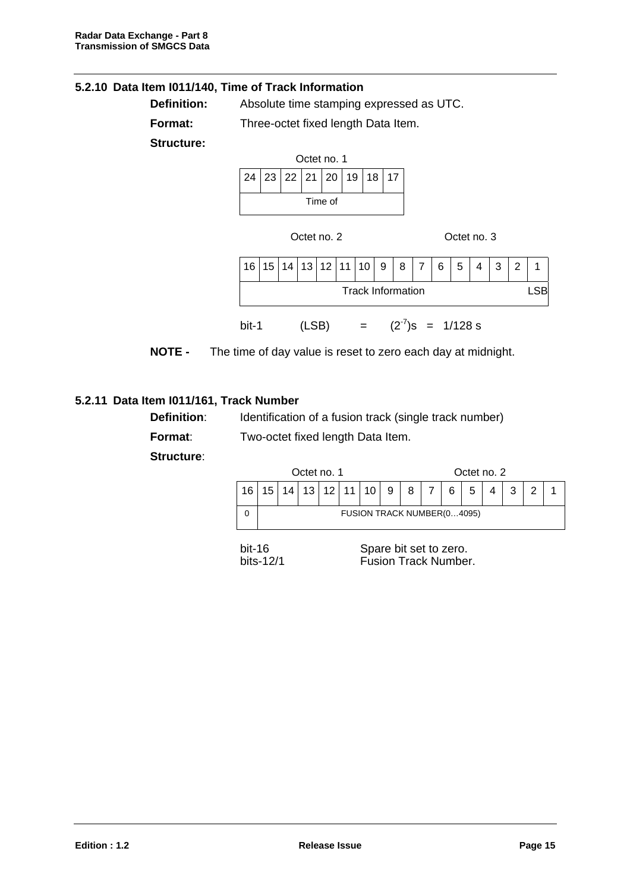#### **5.2.10 Data Item I011/140, Time of Track Information**

 **Definition:** Absolute time stamping expressed as UTC.

**Format:** Three-octet fixed length Data Item.

 **Structure:** 







 **NOTE -** The time of day value is reset to zero each day at midnight.

#### **5.2.11 Data Item I011/161, Track Number**

| <b>Definition:</b> | Identification of a fusion track (single track number) |
|--------------------|--------------------------------------------------------|
| Format:            | Two-octet fixed length Data Item.                      |
| Structure:         |                                                        |



bit-16 Spare bit set to zero.<br>bits-12/1 Fusion Track Number Fusion Track Number.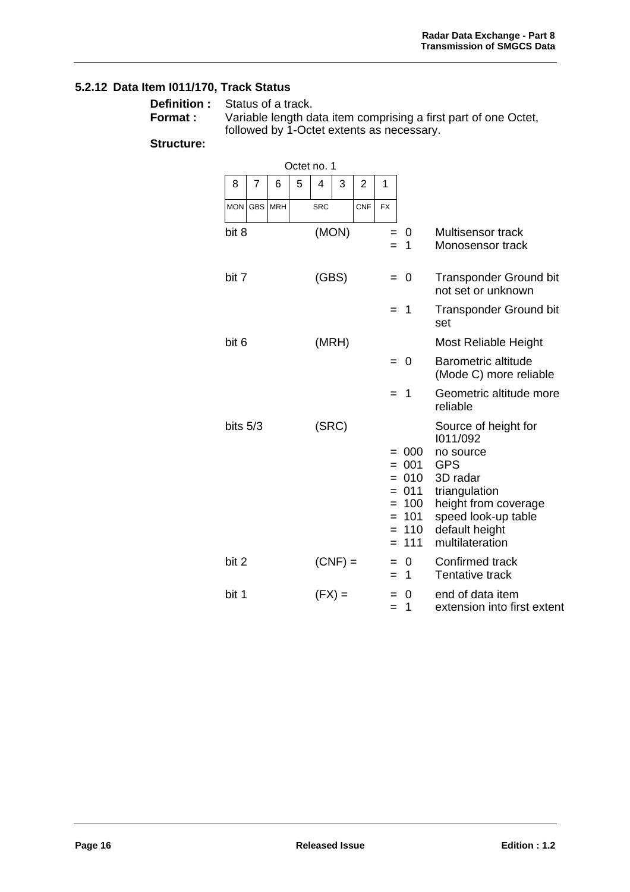# **5.2.12 Data Item I011/170, Track Status**

|          | <b>Definition:</b> Status of a track.                           |
|----------|-----------------------------------------------------------------|
| Format : | Variable length data item comprising a first part of one Octet, |
|          | followed by 1-Octet extents as necessary.                       |

**Structure:** 

|            |            |            |   | Octet no. 1             |           |                |                   |                                                                      |                                                                                                                                                                              |
|------------|------------|------------|---|-------------------------|-----------|----------------|-------------------|----------------------------------------------------------------------|------------------------------------------------------------------------------------------------------------------------------------------------------------------------------|
| 8          | 7          | 6          | 5 | $\overline{\mathbf{4}}$ | 3         | $\overline{2}$ | 1                 |                                                                      |                                                                                                                                                                              |
| <b>MON</b> | <b>GBS</b> | <b>MRH</b> |   | <b>SRC</b>              |           | <b>CNF</b>     | <b>FX</b>         |                                                                      |                                                                                                                                                                              |
| bit 8      |            |            |   |                         | (MON)     |                | $=$<br>$=$        | 0<br>1                                                               | <b>Multisensor track</b><br>Monosensor track                                                                                                                                 |
| bit 7      |            |            |   | (GBS)                   |           |                | =                 | - 0                                                                  | <b>Transponder Ground bit</b><br>not set or unknown                                                                                                                          |
|            |            |            |   |                         |           |                | $=$               | 1                                                                    | <b>Transponder Ground bit</b><br>set                                                                                                                                         |
| bit 6      |            |            |   |                         | (MRH)     |                |                   |                                                                      | <b>Most Reliable Height</b>                                                                                                                                                  |
|            |            |            |   |                         |           |                | $=$               | $\Omega$                                                             | Barometric altitude<br>(Mode C) more reliable                                                                                                                                |
|            |            |            |   |                         |           |                | $=$               | 1                                                                    | Geometric altitude more<br>reliable                                                                                                                                          |
| bits $5/3$ |            |            |   | (SRC)                   |           |                | $=$<br>$=$<br>$=$ | 000<br>001<br>010<br>$= 011$<br>$= 100$<br>$= 101$<br>$= 110$<br>111 | Source of height for<br>1011/092<br>no source<br><b>GPS</b><br>3D radar<br>triangulation<br>height from coverage<br>speed look-up table<br>default height<br>multilateration |
| bit 2      |            |            |   |                         | $(CNF) =$ |                | =<br>$=$          | 0<br>1                                                               | Confirmed track<br><b>Tentative track</b>                                                                                                                                    |
| bit 1      |            |            |   | $(FX) =$                |           |                | $=$               | 0<br>1                                                               | end of data item<br>extension into first extent                                                                                                                              |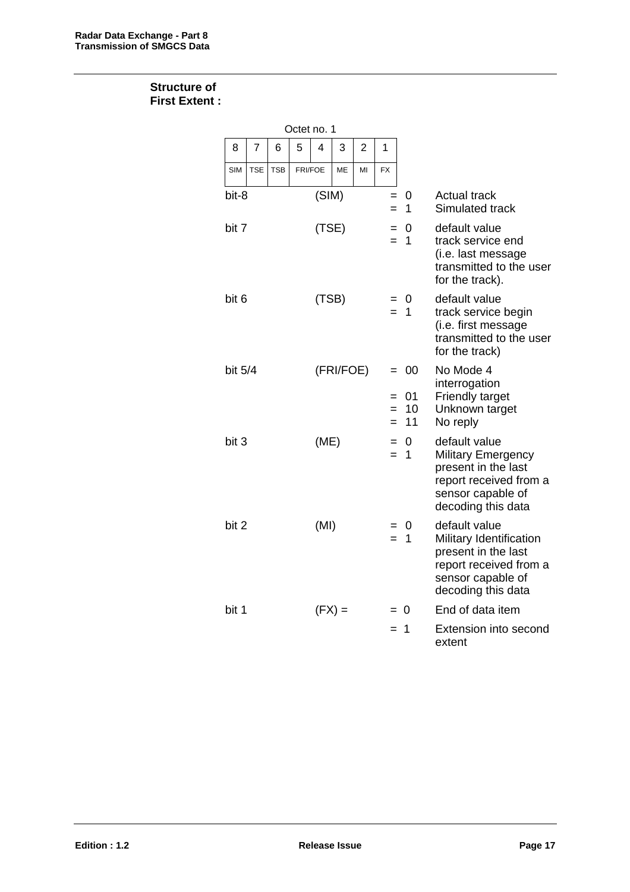#### **Structure of First Extent :**

|            |            |            |   | Octet no. 1    |           |    |            |                      |                                                                                                                                      |
|------------|------------|------------|---|----------------|-----------|----|------------|----------------------|--------------------------------------------------------------------------------------------------------------------------------------|
| 8          | 7          | 6          | 5 | 4              | 3         | 2  | 1          |                      |                                                                                                                                      |
| <b>SIM</b> | <b>TSE</b> | <b>TSB</b> |   | <b>FRI/FOE</b> | <b>ME</b> | MI | <b>FX</b>  |                      |                                                                                                                                      |
| bit-8      |            |            |   | (SIM)          |           |    | $=$<br>$=$ | 0<br>1               | <b>Actual track</b><br>Simulated track                                                                                               |
| bit 7      |            |            |   | (TSE)          |           |    | $=$<br>$=$ | 0<br>1               | default value<br>track service end<br>(i.e. last message<br>transmitted to the user<br>for the track).                               |
| bit 6      |            |            |   |                | (TSB)     |    |            | 0<br>1               | default value<br>track service begin<br>(i.e. first message<br>transmitted to the user<br>for the track)                             |
| bit 5/4    |            |            |   |                | (FRI/FOE) |    | $=$        | 00<br>01<br>10<br>11 | No Mode 4<br>interrogation<br><b>Friendly target</b><br>Unknown target<br>No reply                                                   |
| bit 3      |            |            |   | (ME)           |           |    | $=$<br>$=$ | 0<br>1               | default value<br>Military Emergency<br>present in the last<br>report received from a<br>sensor capable of<br>decoding this data      |
| bit 2      |            |            |   | (MI)           |           |    | $=$        | 0<br>1               | default value<br>Military Identification<br>present in the last<br>report received from a<br>sensor capable of<br>decoding this data |
| bit 1      |            |            |   |                | $(FX) =$  |    |            | $= 0$                | End of data item                                                                                                                     |
|            |            |            |   |                |           |    | $=$        | 1                    | Extension into second<br>extent                                                                                                      |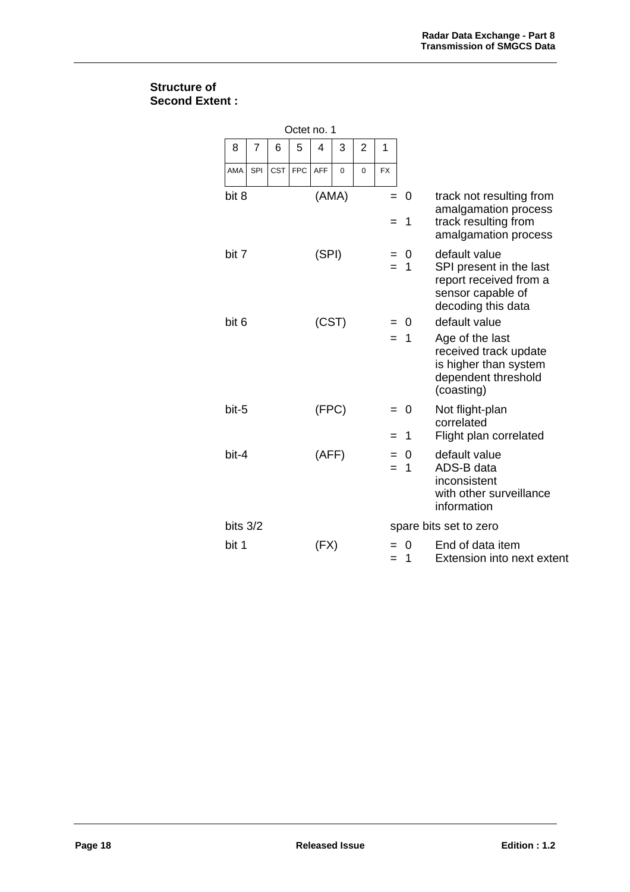#### **Structure of Second Extent :**

|            |     |     |            | Octet no. 1 |             |                |            |                     |                                                                                                        |
|------------|-----|-----|------------|-------------|-------------|----------------|------------|---------------------|--------------------------------------------------------------------------------------------------------|
| 8          | 7   | 6   | 5          | 4           | 3           | $\overline{2}$ | 1          |                     |                                                                                                        |
| AMA        | SPI | CST | <b>FPC</b> | <b>AFF</b>  | $\mathbf 0$ | $\overline{0}$ | <b>FX</b>  |                     |                                                                                                        |
| bit 8      |     |     |            | (AMA)       |             |                | $=$        | 0                   | track not resulting from<br>amalgamation process                                                       |
|            |     |     |            |             |             |                | $=$        | 1                   | track resulting from<br>amalgamation process                                                           |
| bit 7      |     |     |            | (SPI)       |             |                | $=$        | 0<br>- 1            | default value<br>SPI present in the last                                                               |
|            |     |     |            |             |             |                |            |                     | report received from a<br>sensor capable of<br>decoding this data                                      |
| bit 6      |     |     |            | (CST)       |             |                |            | 0                   | default value                                                                                          |
|            |     |     |            |             |             |                | $=$        | - 1                 | Age of the last<br>received track update<br>is higher than system<br>dependent threshold<br>(coasting) |
| bit-5      |     |     |            | (FPC)       |             |                | $=$        | - 0                 | Not flight-plan<br>correlated                                                                          |
|            |     |     |            |             |             |                |            | 1                   | Flight plan correlated                                                                                 |
| bit-4      |     |     |            | (AFF)       |             |                | $=$<br>$=$ | 0<br>$\overline{1}$ | default value<br>ADS-B data<br>inconsistent<br>with other surveillance<br>information                  |
| bits $3/2$ |     |     |            |             |             |                |            |                     | spare bits set to zero                                                                                 |
| bit 1      |     |     |            | (FX)        |             |                | $=$        | O<br>1              | End of data item<br>Extension into next extent                                                         |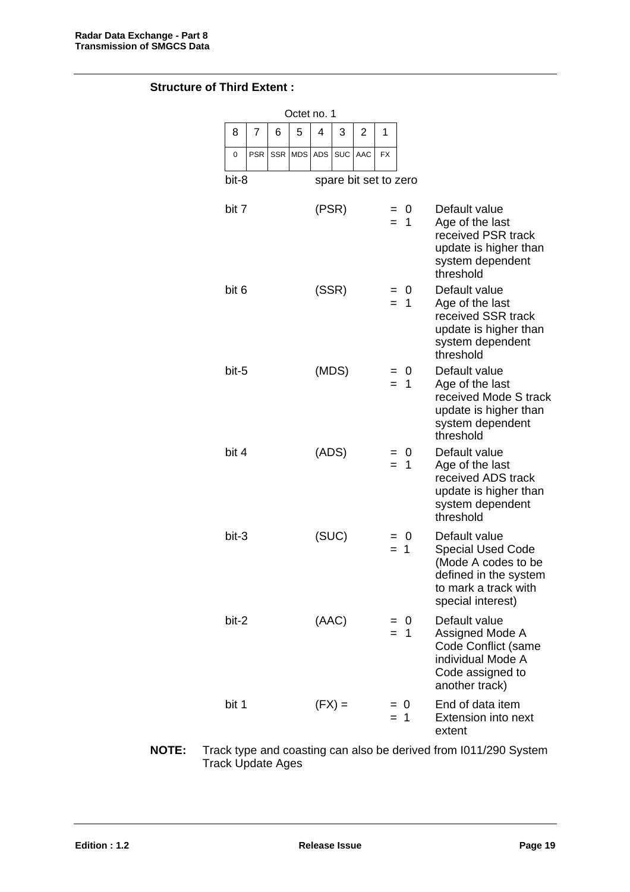#### **Structure of Third Extent :**

|       |            |            | Octet no. 1 |          |            |     |                       |                                  |                                                                                                                                        |
|-------|------------|------------|-------------|----------|------------|-----|-----------------------|----------------------------------|----------------------------------------------------------------------------------------------------------------------------------------|
| 8     | 7          | 6          | 5           | 4        | 3          | 2   | 1                     |                                  |                                                                                                                                        |
| 0     | <b>PSR</b> | <b>SSR</b> | <b>MDS</b>  | ADS      | <b>SUC</b> | AAC | <b>FX</b>             |                                  |                                                                                                                                        |
| bit-8 |            |            |             |          |            |     | spare bit set to zero |                                  |                                                                                                                                        |
| bit 7 |            |            |             | (PSR)    |            |     |                       | $= 0$<br>$=$ 1                   | Default value<br>Age of the last<br>received PSR track<br>update is higher than<br>system dependent<br>threshold                       |
| bit 6 |            |            |             | (SSR)    |            |     |                       | $= 0$<br>$=$ 1                   | Default value<br>Age of the last<br>received SSR track<br>update is higher than<br>system dependent<br>threshold                       |
| bit-5 |            |            |             |          | (MDS)      |     |                       | $= 0$<br>$\overline{\mathbf{1}}$ | Default value<br>Age of the last<br>received Mode S track<br>update is higher than<br>system dependent<br>threshold                    |
| bit 4 |            |            |             | (ADS)    |            |     |                       | $= 0$<br>$= 1$                   | Default value<br>Age of the last<br>received ADS track<br>update is higher than<br>system dependent<br>threshold                       |
| bit-3 |            |            |             | (SUC)    |            |     | $=$                   | -0<br>$\overline{1}$             | Default value<br><b>Special Used Code</b><br>(Mode A codes to be<br>defined in the system<br>to mark a track with<br>special interest) |
| bit-2 |            |            |             | (AAC)    |            |     |                       | $= 0$<br>= 1                     | Default value<br>Assigned Mode A<br>Code Conflict (same<br>individual Mode A<br>Code assigned to<br>another track)                     |
| bit 1 |            |            |             | $(FX) =$ |            |     |                       | = 0<br>$=$ 1                     | End of data item<br>Extension into next<br>extent                                                                                      |
|       |            |            |             |          |            |     |                       |                                  | Track type and coasting can also be derived from 1011/290 System                                                                       |

**NOTE:** Track type and coasting can also be derived from I011/290 System Track Update Ages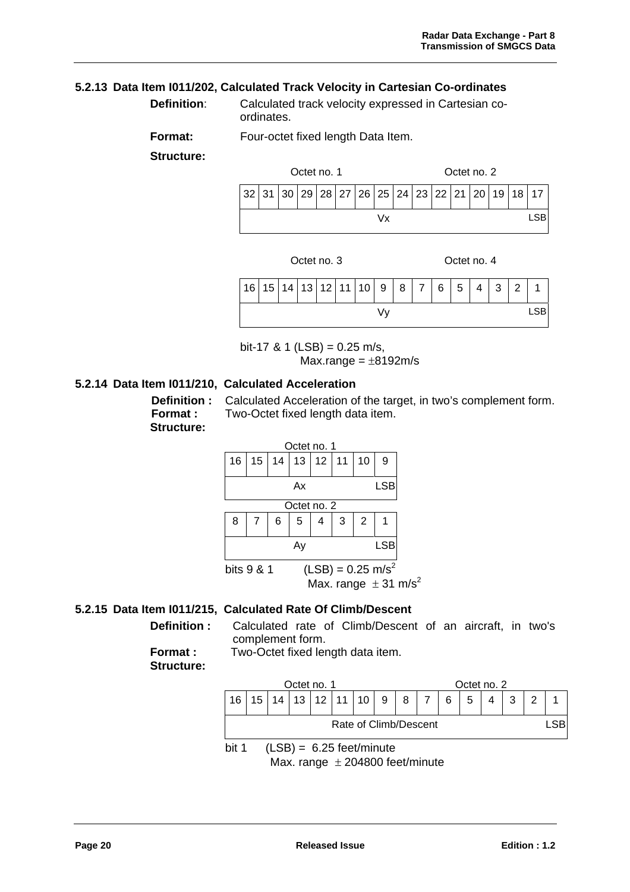#### **5.2.13 Data Item I011/202, Calculated Track Velocity in Cartesian Co-ordinates**

**Definition:** Calculated track velocity expressed in Cartesian coordinates.

 **Format:** Four-octet fixed length Data Item.

 **Structure:** 

Octet no. 1 Octet no. 2 32 31 30 29 28 27 26 25 24 23 22 21 20 19 18 17 Vx LSB



bit-17 & 1 (LSB) =  $0.25$  m/s, Max.range  $= \pm 8192$ m/s

#### **5.2.14 Data Item I011/210, Calculated Acceleration**

**Structure:** 

**Definition :** Calculated Acceleration of the target, in two's complement form. **Format :** Two-Octet fixed length data item.



### **5.2.15 Data Item I011/215, Calculated Rate Of Climb/Descent**

**Definition :** Calculated rate of Climb/Descent of an aircraft, in two's complement form. **Format :** Two-Octet fixed length data item.

**Structure:** 

|    |   |    | Octet no. 1     |         |                       | Octet no. 2 |   |  |   |   |   |  |  |  |  |
|----|---|----|-----------------|---------|-----------------------|-------------|---|--|---|---|---|--|--|--|--|
| 16 | 5 | 14 | 13 <sup>1</sup> | $12$ 11 | 10                    | 9           | 8 |  | 6 | 5 | 4 |  |  |  |  |
|    |   |    |                 |         | Rate of Climb/Descent |             |   |  |   |   |   |  |  |  |  |

bit 1  $(LSB) = 6.25$  feet/minute Max. range  $\pm 204800$  feet/minute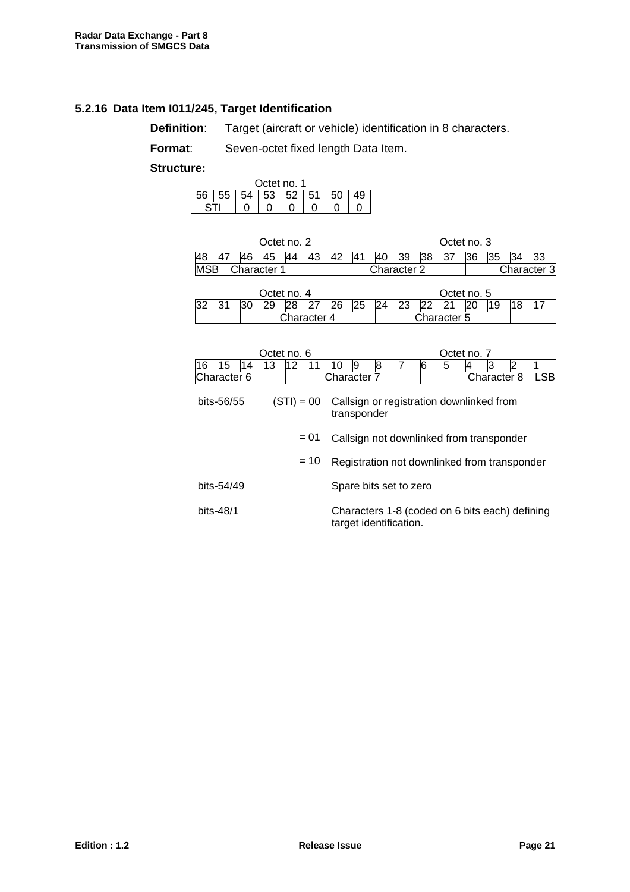# **5.2.16 Data Item I011/245, Target Identification**

**Definition:** Target (aircraft or vehicle) identification in 8 characters.

**Format**: Seven-octet fixed length Data Item.

**Structure:** 

| Octet no. 1 |  |  |  |                      |  |  |  |  |  |
|-------------|--|--|--|----------------------|--|--|--|--|--|
| 56          |  |  |  | $53 \mid 52 \mid 51$ |  |  |  |  |  |
|             |  |  |  |                      |  |  |  |  |  |

|            | Octet no. 2 |    |    |    |    |    |             |                            |    | Octet no. 3 |             |    |    |    |             |
|------------|-------------|----|----|----|----|----|-------------|----------------------------|----|-------------|-------------|----|----|----|-------------|
|            |             |    | 45 | 44 | 43 | 42 |             | <b>40</b>                  | 39 | 38          | 37          | 36 | 35 | 34 | 33          |
| <b>MSB</b> | Character 1 |    |    |    |    |    | Character 2 |                            |    |             |             |    |    |    | Character 3 |
|            | Octet no. 4 |    |    |    |    |    |             |                            |    |             | Octet no. 5 |    |    |    |             |
| 132        | 31          | 30 | 29 | 28 |    | 26 | 25          | 22<br>24<br>23<br>21<br>19 |    |             |             |    |    |    |             |
|            | Character 4 |    |    |    |    |    |             |                            |    | Character 5 |             |    |    |    |             |

|    |              |    | Octet no. 6 |    |        |             |             |                                                       |   |   | Octet no. 7 |   |   |                                                |            |
|----|--------------|----|-------------|----|--------|-------------|-------------|-------------------------------------------------------|---|---|-------------|---|---|------------------------------------------------|------------|
| 16 | 15           | 14 | 13          | 12 | l11    | 10          | 9           | 8                                                     | 7 | 6 | 5           | 4 | 3 | 2                                              |            |
|    | Character 6  |    |             |    |        | Character 7 |             |                                                       |   |   |             |   |   | Character 8                                    | <b>LSB</b> |
|    | bits-56/55   |    |             |    |        |             | transponder | $(STI) = 00$ Callsign or registration downlinked from |   |   |             |   |   |                                                |            |
|    |              |    |             |    | $= 01$ |             |             |                                                       |   |   |             |   |   | Callsign not downlinked from transponder       |            |
|    |              |    |             |    | $= 10$ |             |             |                                                       |   |   |             |   |   | Registration not downlinked from transponder   |            |
|    | bits-54/49   |    |             |    |        |             |             | Spare bits set to zero                                |   |   |             |   |   |                                                |            |
|    | bits- $48/1$ |    |             |    |        |             |             | target identification.                                |   |   |             |   |   | Characters 1-8 (coded on 6 bits each) defining |            |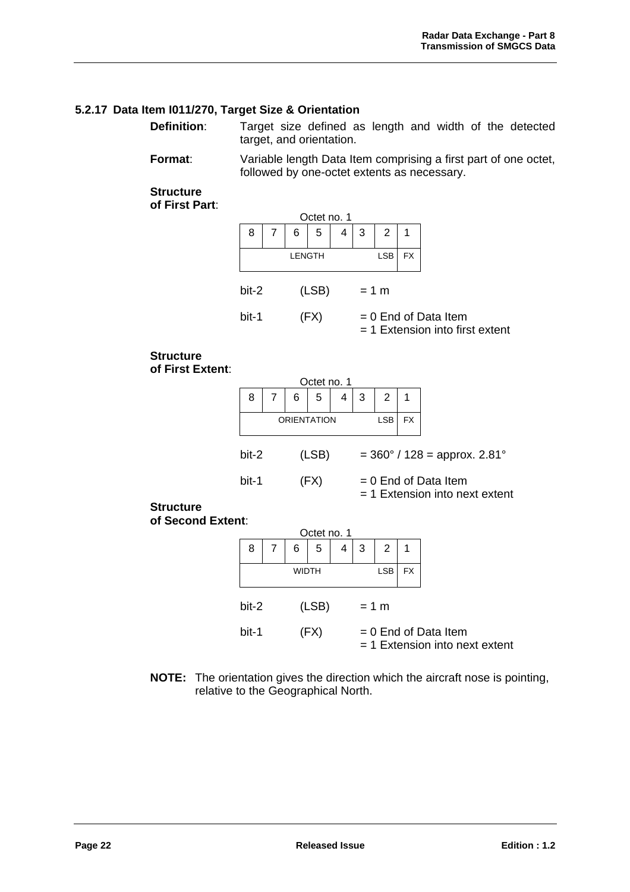#### **5.2.17 Data Item I011/270, Target Size & Orientation**

**Definition:** Target size defined as length and width of the detected target, and orientation.

**Format:** Variable length Data Item comprising a first part of one octet, followed by one-octet extents as necessary.

 **Structure** 

 **of First Part**:

| Octet no. 1   |  |       |  |  |  |  |
|---------------|--|-------|--|--|--|--|
| 6<br>5        |  | 8     |  |  |  |  |
| <b>LENGTH</b> |  |       |  |  |  |  |
| (LSB)         |  | bit-2 |  |  |  |  |
| (FX)          |  | bit-1 |  |  |  |  |

#### **Structure of First Extent**:

|       | Octet no. 1 |                    |   |   |    |                        |           |  |                                                 |  |
|-------|-------------|--------------------|---|---|----|------------------------|-----------|--|-------------------------------------------------|--|
| 8     |             | 6                  | 5 | 4 | -3 | 2                      |           |  |                                                 |  |
|       |             | <b>ORIENTATION</b> |   |   |    | LSB.                   | <b>FX</b> |  |                                                 |  |
| bit-2 |             | (LSB)              |   |   |    |                        |           |  | $= 360^{\circ}$ / 128 = approx. 2.81 $^{\circ}$ |  |
| bit-1 |             | (FX)               |   |   |    | $= 0$ End of Data Item |           |  | $=$ 1 Extension into next extent                |  |

# **Structure**

 **of Second Extent**:

| Octet no. 1 |  |              |      |   |         |     |           |                                                            |  |
|-------------|--|--------------|------|---|---------|-----|-----------|------------------------------------------------------------|--|
| 8           |  | 6            | 5    | 4 | 3       | 2   |           |                                                            |  |
|             |  | <b>WIDTH</b> |      |   |         | LSB | <b>FX</b> |                                                            |  |
| bit-2       |  | (LSB)        |      |   | $= 1 m$ |     |           |                                                            |  |
| bit-1       |  |              | (FX) |   |         |     |           | $= 0$ End of Data Item<br>$=$ 1 Extension into next extent |  |

**NOTE:** The orientation gives the direction which the aircraft nose is pointing, relative to the Geographical North.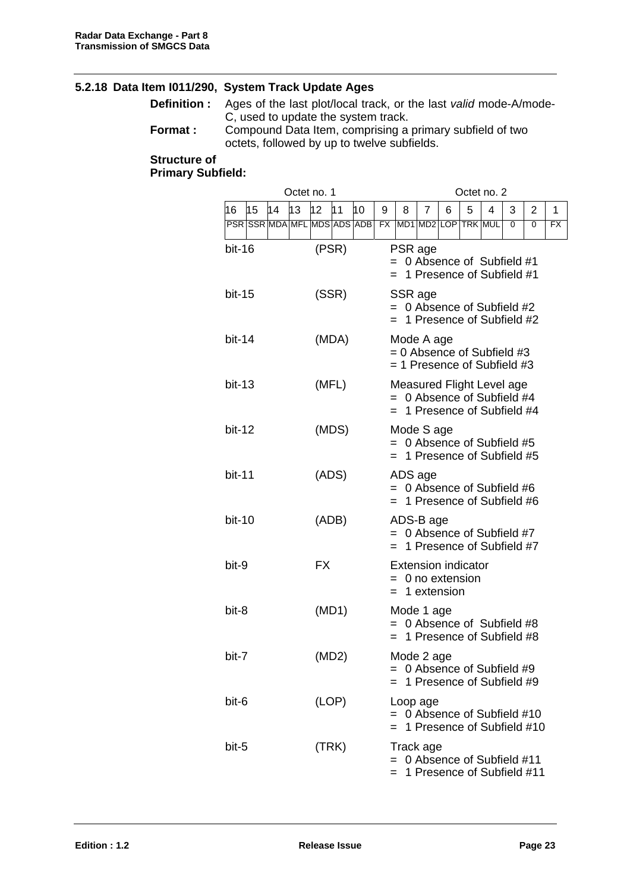#### **5.2.18 Data Item I011/290, System Track Update Ages**

**Definition :** Ages of the last plot/local track, or the last *valid* mode-A/mode-C, used to update the system track. **Format :** Compound Data Item, comprising a primary subfield of two

octets, followed by up to twelve subfields.

#### **Structure of**

#### **Primary Subfield:**

|          | Octet no. 1 |    |       |           |       |                                   |                                                                          |                                                                                        | Octet no. 2                                                              |   |   |   |        |                     |                |  |
|----------|-------------|----|-------|-----------|-------|-----------------------------------|--------------------------------------------------------------------------|----------------------------------------------------------------------------------------|--------------------------------------------------------------------------|---|---|---|--------|---------------------|----------------|--|
| 16       | 15          | 14 | 13    | 12        | 11    | 10<br>PSR SSR MDA MFL MDS ADS ADB | 9<br>FX                                                                  | 8                                                                                      | 7<br>MD1 MD2 LOP TRK MUL                                                 | 6 | 5 | 4 | 3<br>0 | $\overline{2}$<br>0 | 1<br><b>FX</b> |  |
| $bit-16$ |             |    |       |           | (PSR) |                                   |                                                                          | PSR age                                                                                | = 0 Absence of Subfield #1<br>1 Presence of Subfield #1                  |   |   |   |        |                     |                |  |
| $bit-15$ |             |    |       |           | (SSR) |                                   |                                                                          | SSR age                                                                                | = 0 Absence of Subfield #2<br>1 Presence of Subfield #2                  |   |   |   |        |                     |                |  |
| $bit-14$ |             |    |       |           | (MDA) |                                   |                                                                          | Mode A age<br>$= 0$ Absence of Subfield #3<br>$=$ 1 Presence of Subfield #3            |                                                                          |   |   |   |        |                     |                |  |
| $bit-13$ |             |    |       |           | (MFL) |                                   |                                                                          | Measured Flight Level age<br>$= 0$ Absence of Subfield #4<br>1 Presence of Subfield #4 |                                                                          |   |   |   |        |                     |                |  |
| $bit-12$ |             |    | (MDS) |           |       |                                   |                                                                          | Mode S age<br>$= 0$ Absence of Subfield #5<br>$=$ 1 Presence of Subfield #5            |                                                                          |   |   |   |        |                     |                |  |
| $bit-11$ |             |    |       |           | (ADS) |                                   | ADS age<br>$= 0$ Absence of Subfield #6<br>$=$ 1 Presence of Subfield #6 |                                                                                        |                                                                          |   |   |   |        |                     |                |  |
| $bit-10$ |             |    |       |           | (ADB) |                                   |                                                                          |                                                                                        | ADS-B age<br>= 0 Absence of Subfield #7<br>$= 1$ Presence of Subfield #7 |   |   |   |        |                     |                |  |
| bit-9    |             |    |       | <b>FX</b> |       |                                   |                                                                          |                                                                                        | <b>Extension indicator</b><br>$= 0$ no extension<br>$= 1$ extension      |   |   |   |        |                     |                |  |
| bit-8    |             |    | (MD1) |           |       |                                   | Mode 1 age<br>= 0 Absence of Subfield #8<br>1 Presence of Subfield #8    |                                                                                        |                                                                          |   |   |   |        |                     |                |  |
| bit-7    |             |    | (MD2) |           |       |                                   |                                                                          |                                                                                        | Mode 2 age<br>= 0 Absence of Subfield #9<br>1 Presence of Subfield #9    |   |   |   |        |                     |                |  |
| bit-6    |             |    | (LOP) |           |       |                                   |                                                                          |                                                                                        | Loop age<br>$= 0$ Absence of Subfield #10<br>1 Presence of Subfield #10  |   |   |   |        |                     |                |  |
| bit-5    |             |    |       | (TRK)     |       |                                   |                                                                          |                                                                                        | Track age<br>$= 0$ Absence of Subfield #11<br>1 Presence of Subfield #11 |   |   |   |        |                     |                |  |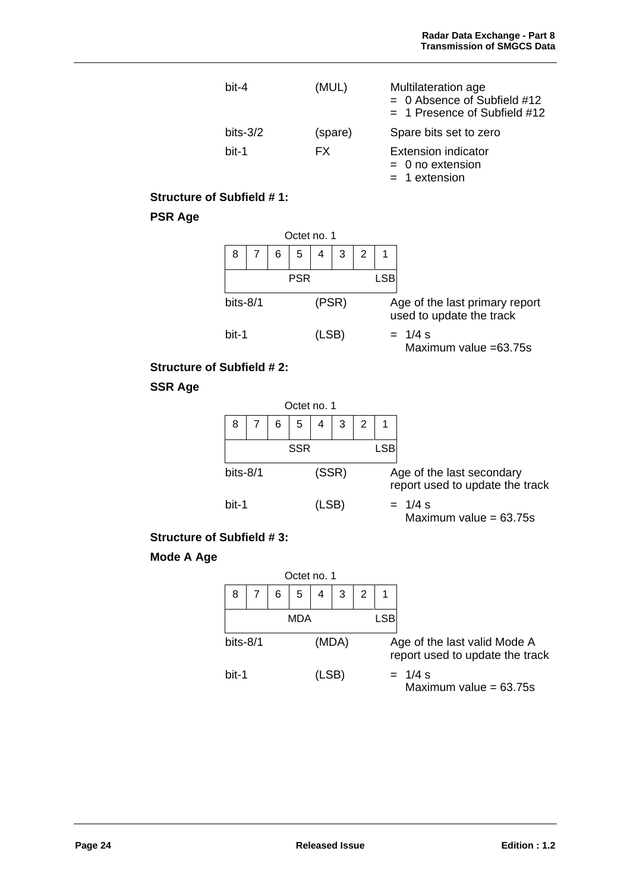| bit-4      | (MUL)   | Multilateration age<br>$= 0$ Absence of Subfield #12<br>$=$ 1 Presence of Subfield #12 |
|------------|---------|----------------------------------------------------------------------------------------|
| $bits-3/2$ | (spare) | Spare bits set to zero                                                                 |
| bit-1      | FX.     | <b>Extension indicator</b><br>$= 0$ no extension<br>$= 1$ extension                    |

# **Structure of Subfield # 1:**

# **PSR Age**



### **Structure of Subfield # 2:**

### **SSR Age**

|            |       | Octet no. 1 |       |   |   |     |                                                              |
|------------|-------|-------------|-------|---|---|-----|--------------------------------------------------------------|
| 8          | 6     | 5           | 4     | 3 | 2 |     |                                                              |
|            |       | <b>SSR</b>  |       |   |   | LSB |                                                              |
| $bits-8/1$ | (SSR) |             |       |   |   |     | Age of the last secondary<br>report used to update the track |
| bit-1      |       |             | (LSB) |   |   |     | $= 1/4$ s<br>Maximum value = $63.75s$                        |

### **Structure of Subfield # 3:**

### **Mode A Age**

|            |   | Octet no. 1 |       |       |   |            |                                                                 |
|------------|---|-------------|-------|-------|---|------------|-----------------------------------------------------------------|
| 8          | 6 | 5           | 4     | 3     | 2 |            |                                                                 |
|            |   | MDA         |       |       |   | <b>LSB</b> |                                                                 |
| $bits-8/1$ |   |             |       | (MDA) |   |            | Age of the last valid Mode A<br>report used to update the track |
| bit-1      |   |             | (LSB) |       |   |            | $= 1/4$ s<br>Maximum value = $63.75s$                           |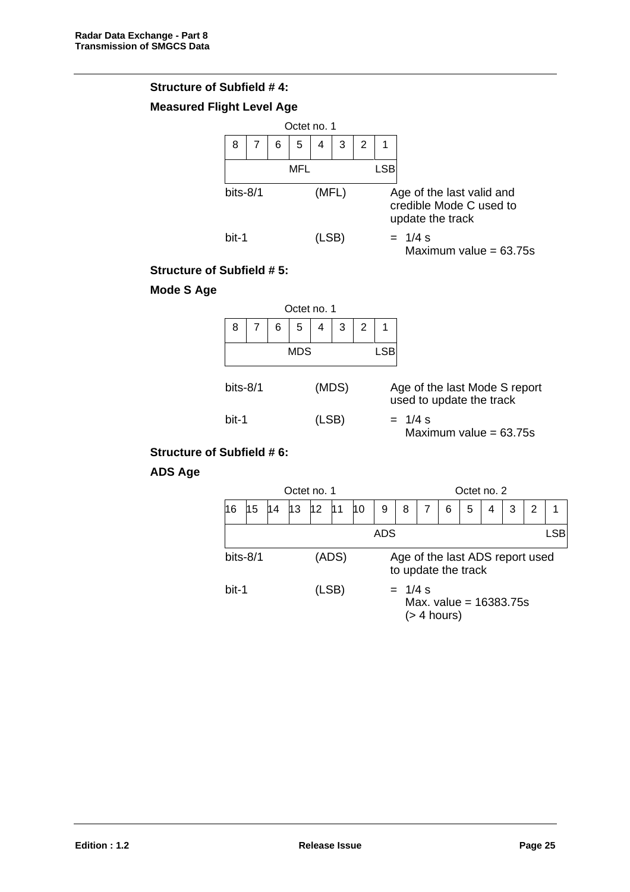# **Structure of Subfield # 4:**

#### **Measured Flight Level Age**



#### **Structure of Subfield # 5:**

#### **Mode S Age**

|   | Octet no. 1 |    |   |      |   |   |  |  |  |  |
|---|-------------|----|---|------|---|---|--|--|--|--|
| 8 |             | 6. | 5 |      | 3 | 2 |  |  |  |  |
|   |             |    |   | I SB |   |   |  |  |  |  |

| bits-8/1 | (MDS) | Age of the last Mode S report<br>used to update the track |
|----------|-------|-----------------------------------------------------------|
| bit-1    | (LSB) | $= 1/4$ s<br>Maximum value = $63.75s$                     |

#### **Structure of Subfield # 6:**

#### **ADS Age**

|                                                                               |    |    |    | Octet no. 1     |     |    |   |           |             |   |   | Octet no. 2 |                          |   |  |
|-------------------------------------------------------------------------------|----|----|----|-----------------|-----|----|---|-----------|-------------|---|---|-------------|--------------------------|---|--|
| 16                                                                            | 15 | 14 | 13 | 12 <sup>2</sup> | 111 | 10 | 9 | 8         |             | 6 | 5 | 4           | 3                        | 2 |  |
| ADS                                                                           |    |    |    |                 |     |    |   |           |             |   |   |             | <b>LSB</b>               |   |  |
| $bits-8/1$<br>(ADS)<br>Age of the last ADS report used<br>to update the track |    |    |    |                 |     |    |   |           |             |   |   |             |                          |   |  |
| bit-1<br>(LSB)                                                                |    |    |    |                 |     |    |   | $= 1/4$ s | (> 4 hours) |   |   |             | Max. value = $16383.75s$ |   |  |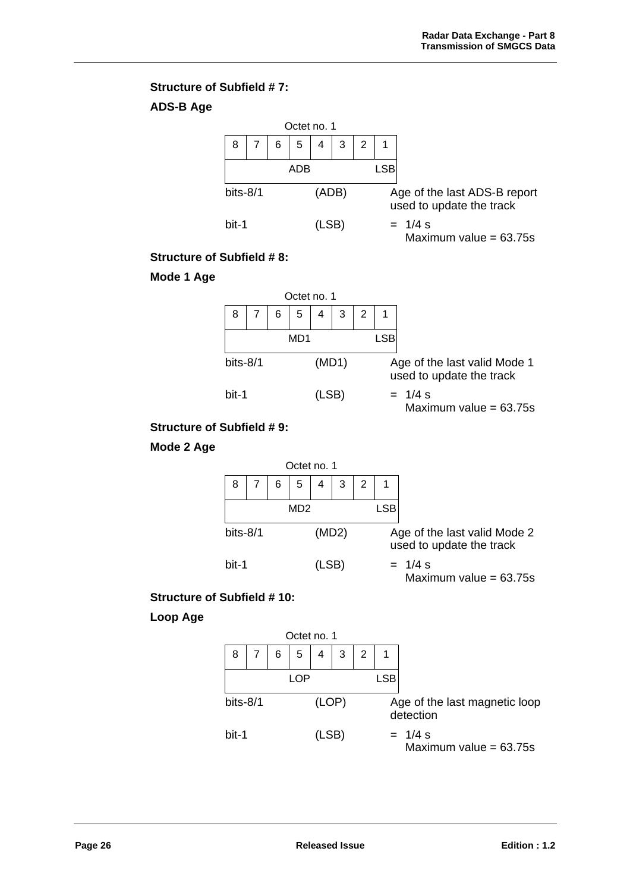#### **Structure of Subfield # 7:**

#### **ADS-B Age**





#### **Structure of Subfield # 9:**

#### **Mode 2 Age**



#### **Structure of Subfield # 10:**

#### **Loop Age**

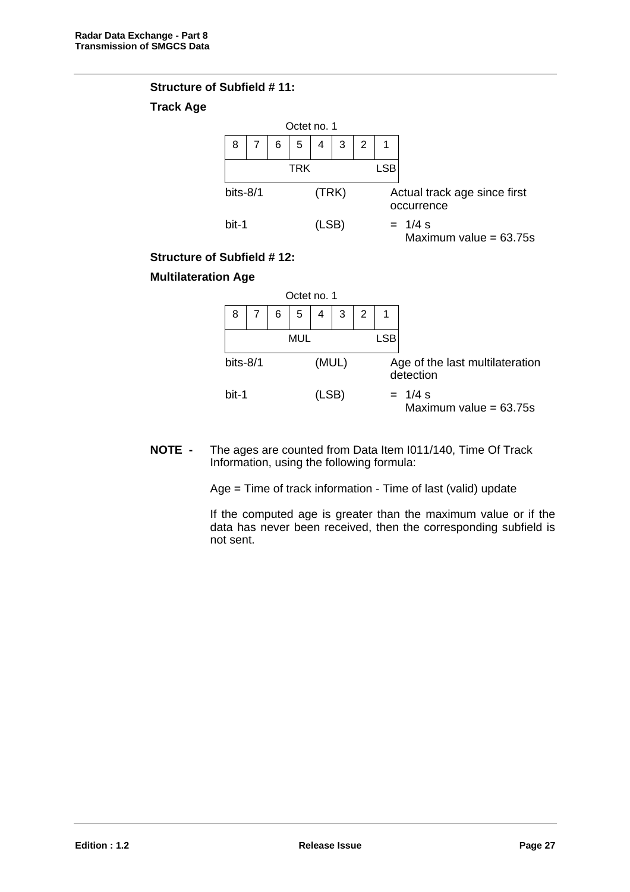#### **Structure of Subfield # 11:**

#### **Track Age**



# **Structure of Subfield # 12:**

#### **Multilateration Age**



**NOTE -** The ages are counted from Data Item I011/140, Time Of Track Information, using the following formula:

Age = Time of track information - Time of last (valid) update

If the computed age is greater than the maximum value or if the data has never been received, then the corresponding subfield is not sent.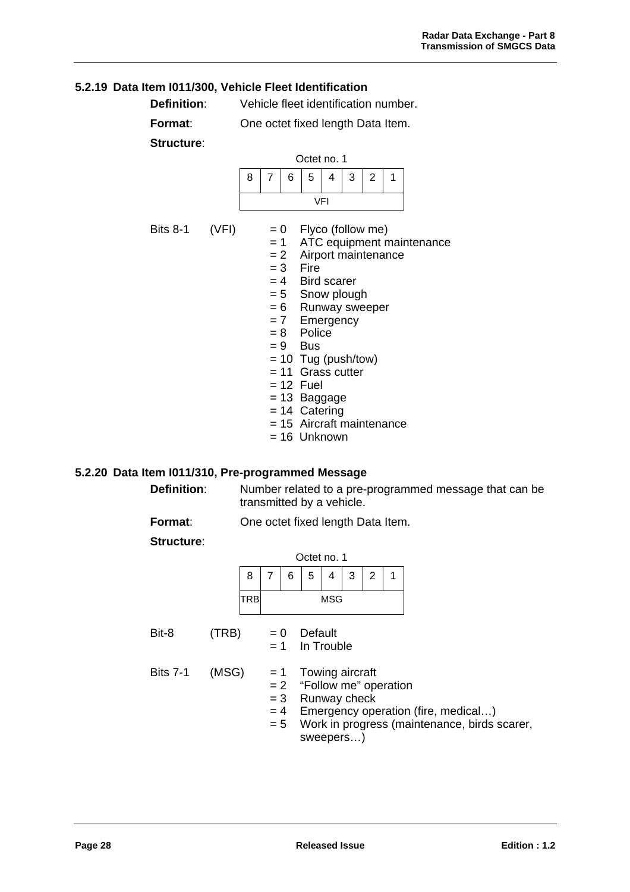#### **5.2.19 Data Item I011/300, Vehicle Fleet Identification**

 **Definition**: Vehicle fleet identification number.

**Format:** One octet fixed length Data Item.

 **Structure**:

| Octet no. 1 |  |   |    |  |  |   |  |  |  |  |  |  |  |
|-------------|--|---|----|--|--|---|--|--|--|--|--|--|--|
| 8           |  | 6 | -5 |  |  | っ |  |  |  |  |  |  |  |
|             |  |   |    |  |  |   |  |  |  |  |  |  |  |

| Bits $8-1$ (VFI) |  | $= 0$ Flyco (follow me)         |
|------------------|--|---------------------------------|
|                  |  | $= 1$ ATC equipment maintenance |
|                  |  | $= 2$ Airport maintenance       |
|                  |  | $=3$ Fire                       |
|                  |  | $= 4$ Bird scarer               |
|                  |  | $= 5$ Snow plough               |
|                  |  | $= 6$ Runway sweeper            |
|                  |  | $= 7$ Emergency                 |
|                  |  |                                 |

- $= 8$  Police
- $= 9$  Bus
- $= 10$  Tug (push/tow)
- = 11 Grass cutter
- $= 12$  Fuel
- = 13 Baggage
- = 14 Catering
- = 15 Aircraft maintenance
- $= 16$  Unknown

#### **5.2.20 Data Item I011/310, Pre-programmed Message**

**Definition:** Number related to a pre-programmed message that can be transmitted by a vehicle.

**Format:** One octet fixed length Data Item.

 **Structure**:

|                 |       |     |                |                                                                                                                                                                                                     | Octet no. 1           |     |   |   |   |  |  |  |
|-----------------|-------|-----|----------------|-----------------------------------------------------------------------------------------------------------------------------------------------------------------------------------------------------|-----------------------|-----|---|---|---|--|--|--|
|                 |       | 8   | 7              | 6                                                                                                                                                                                                   | 5                     | 4   | 3 | 2 | 1 |  |  |  |
|                 |       | TRB |                |                                                                                                                                                                                                     |                       | MSG |   |   |   |  |  |  |
| Bit-8           | (TRB) |     | $= 0$<br>$= 1$ |                                                                                                                                                                                                     | Default<br>In Trouble |     |   |   |   |  |  |  |
| <b>Bits 7-1</b> | (MSG) |     |                | $= 1$ Towing aircraft<br>$= 2$ "Follow me" operation<br>$= 3$<br>Runway check<br>Emergency operation (fire, medical)<br>$= 4$<br>Work in progress (maintenance, birds scarer,<br>$= 5$<br>sweepers) |                       |     |   |   |   |  |  |  |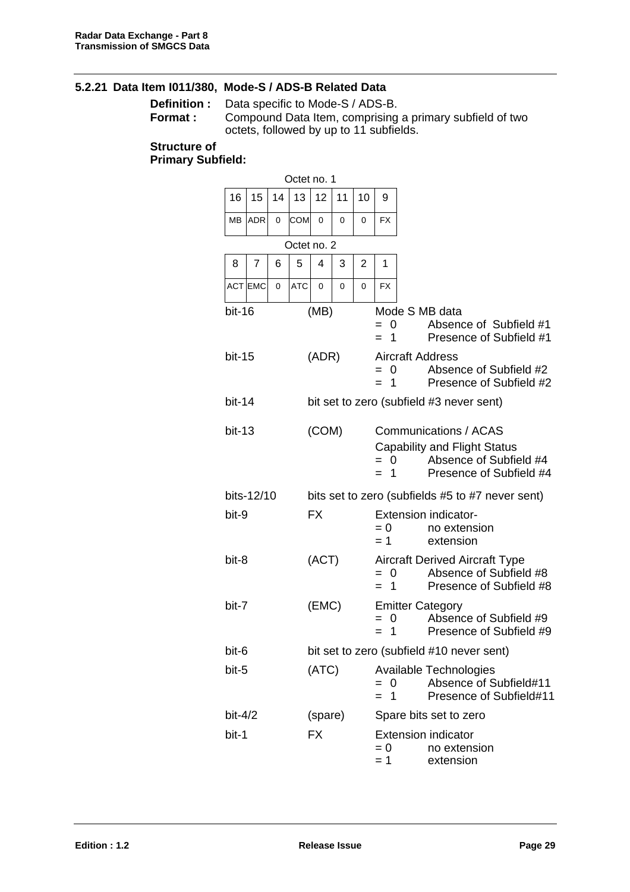#### **5.2.21 Data Item I011/380, Mode-S / ADS-B Related Data**

**Definition :** Data specific to Mode-S / ADS-B.

**Format :** Compound Data Item, comprising a primary subfield of two octets, followed by up to 11 subfields.

#### **Structure of Primary Subfield:**

|           |                |          | Octet no. 1 |           |    |    |                             |                                                                                                                   |
|-----------|----------------|----------|-------------|-----------|----|----|-----------------------------|-------------------------------------------------------------------------------------------------------------------|
| 16        | 15             | 14       | 13          | 12        | 11 | 10 | 9                           |                                                                                                                   |
|           | MB ADR         | 0        | <b>COM</b>  | $\Omega$  | 0  | 0  | <b>FX</b>                   |                                                                                                                   |
|           |                |          | Octet no. 2 |           |    |    |                             |                                                                                                                   |
| 8         | 7              | 6        | 5           | 4         | 3  | 2  | 1                           |                                                                                                                   |
|           | <b>ACT EMC</b> | $\Omega$ | <b>ATC</b>  | 0         | 0  | 0  | <b>FX</b>                   |                                                                                                                   |
| bit-16    |                |          |             | (MB)      |    |    | 0<br>1<br>$=$               | Mode S MB data<br>Absence of Subfield #1<br>Presence of Subfield #1                                               |
| $bit-15$  |                |          |             | (ADR)     |    |    | $\Omega$<br>$=$<br>1<br>$=$ | Aircraft Address<br>Absence of Subfield #2<br>Presence of Subfield #2                                             |
| $bit-14$  |                |          |             |           |    |    |                             | bit set to zero (subfield #3 never sent)                                                                          |
| $bit-13$  |                |          |             | (COM)     |    |    | $= 0$<br>1<br>$=$           | Communications / ACAS<br><b>Capability and Flight Status</b><br>Absence of Subfield #4<br>Presence of Subfield #4 |
|           | bits-12/10     |          |             |           |    |    |                             | bits set to zero (subfields #5 to #7 never sent)                                                                  |
| bit-9     |                |          |             | <b>FX</b> |    |    | $= 0$<br>$= 1$              | <b>Extension indicator-</b><br>no extension<br>extension                                                          |
| bit-8     |                |          |             | (ACT)     |    |    | 0<br>$=$<br>1<br>$=$        | <b>Aircraft Derived Aircraft Type</b><br>Absence of Subfield #8<br>Presence of Subfield #8                        |
| bit-7     |                |          |             | (EMC)     |    |    | 0<br>1<br>$=$               | <b>Emitter Category</b><br>Absence of Subfield #9<br>Presence of Subfield #9                                      |
| bit-6     |                |          |             |           |    |    |                             | bit set to zero (subfield #10 never sent)                                                                         |
| bit-5     |                |          |             | (ATC)     |    |    | $= 0$<br>$=$ 1              | Available Technologies<br>Absence of Subfield#11<br>Presence of Subfield#11                                       |
| $bit-4/2$ |                |          |             | (spare)   |    |    |                             | Spare bits set to zero                                                                                            |
| bit-1     |                |          | FX          |           |    |    | $= 0$<br>$= 1$              | <b>Extension indicator</b><br>no extension<br>extension                                                           |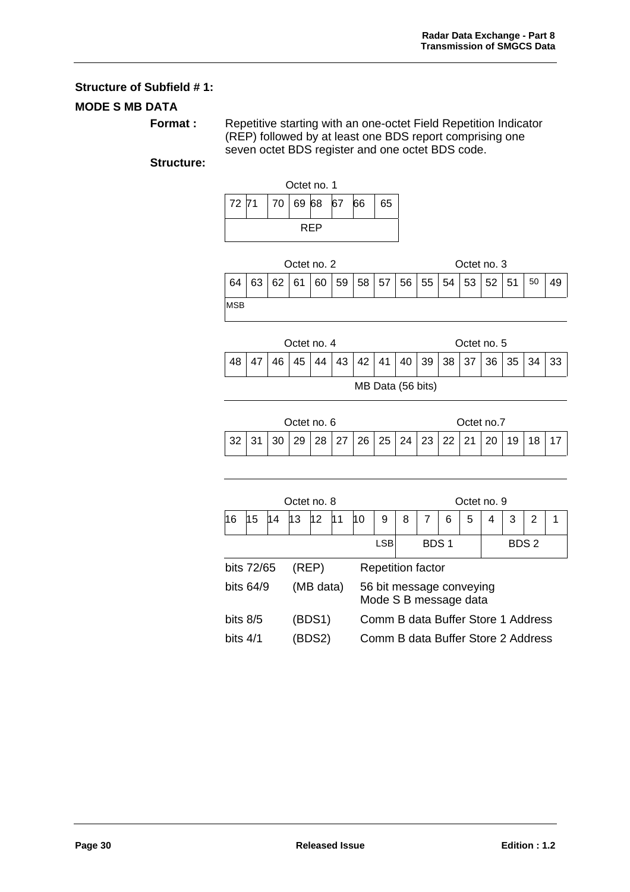#### **Structure of Subfield # 1:**

#### **MODE S MB DATA**

**Format :** Repetitive starting with an one-octet Field Repetition Indicator (REP) followed by at least one BDS report comprising one seven octet BDS register and one octet BDS code.

**Structure:** 







|    |                                                       |  | Octet no. 6 |  |  |  |  |  | Octet no.7 |                  |    |    |  |
|----|-------------------------------------------------------|--|-------------|--|--|--|--|--|------------|------------------|----|----|--|
| 32 | √ 29   28   27   26   25   24   23   22   21  <br>-30 |  |             |  |  |  |  |  |            | 120 <sub>1</sub> | 19 | 18 |  |

|                                                            |                         |    | Octet no. 8 |                                          |  |                                                   | Octet no. 9                        |  |  |  |       |  |   |   |  |  |
|------------------------------------------------------------|-------------------------|----|-------------|------------------------------------------|--|---------------------------------------------------|------------------------------------|--|--|--|-------|--|---|---|--|--|
| 16                                                         | 15                      | 14 | 13          | 5<br>12<br>8<br>9<br>6<br> 11<br>10<br>7 |  |                                                   |                                    |  |  |  |       |  | 3 | 2 |  |  |
|                                                            | LSB<br>BDS <sub>1</sub> |    |             |                                          |  |                                                   |                                    |  |  |  | BDS 2 |  |   |   |  |  |
| bits 72/65<br>(REP)<br><b>Repetition factor</b>            |                         |    |             |                                          |  |                                                   |                                    |  |  |  |       |  |   |   |  |  |
|                                                            | bits 64/9               |    |             | (MB data)                                |  | 56 bit message conveying<br>Mode S B message data |                                    |  |  |  |       |  |   |   |  |  |
| bits $8/5$<br>(BDS1)<br>Comm B data Buffer Store 1 Address |                         |    |             |                                          |  |                                                   |                                    |  |  |  |       |  |   |   |  |  |
| (BDS2)<br>bits $4/1$                                       |                         |    |             |                                          |  |                                                   | Comm B data Buffer Store 2 Address |  |  |  |       |  |   |   |  |  |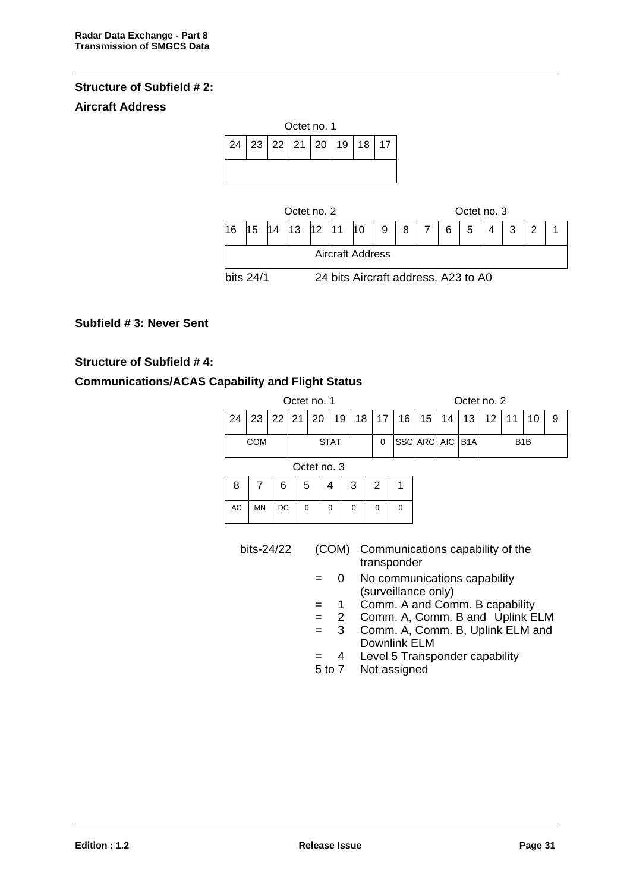### **Structure of Subfield # 2:**

#### **Aircraft Address**





#### **Subfield # 3: Never Sent**

#### **Structure of Subfield # 4:**

#### **Communications/ACAS Capability and Flight Status**

|    |            |                              | Octet no. 1 |                   |                                     |             |          |                                                                                                                                                                                                                                                                                   |         |            | Octet no. 2      |    |    |                  |   |
|----|------------|------------------------------|-------------|-------------------|-------------------------------------|-------------|----------|-----------------------------------------------------------------------------------------------------------------------------------------------------------------------------------------------------------------------------------------------------------------------------------|---------|------------|------------------|----|----|------------------|---|
| 24 | 23         | 22                           | 21          | 20                | 19                                  | 18          | 17       | 16                                                                                                                                                                                                                                                                                | 15      | 14         | 13               | 12 | 11 | 10               | 9 |
|    | <b>COM</b> |                              |             |                   | <b>STAT</b>                         |             | $\Omega$ |                                                                                                                                                                                                                                                                                   | SSC ARC | <b>AIC</b> | B <sub>1</sub> A |    |    | B <sub>1</sub> B |   |
|    |            |                              |             |                   | Octet no. 3                         |             |          |                                                                                                                                                                                                                                                                                   |         |            |                  |    |    |                  |   |
| 8  | 7          | 5<br>3<br>6<br>4<br>$\Omega$ |             |                   |                                     |             | 2        | 1                                                                                                                                                                                                                                                                                 |         |            |                  |    |    |                  |   |
| AC | <b>MN</b>  | DC                           |             |                   | $\Omega$                            | $\mathbf 0$ | $\Omega$ | 0                                                                                                                                                                                                                                                                                 |         |            |                  |    |    |                  |   |
|    | bits-24/22 |                              |             | $=$<br>$=$<br>$=$ | (COM)<br>O<br>1<br>3<br>4<br>5 to 7 | 2           |          | Communications capability of the<br>transponder<br>No communications capability<br>(surveillance only)<br>Comm. A and Comm. B capability<br>Comm. A, Comm. B and Uplink ELM<br>Comm. A, Comm. B, Uplink ELM and<br>Downlink ELM<br>Level 5 Transponder capability<br>Not assigned |         |            |                  |    |    |                  |   |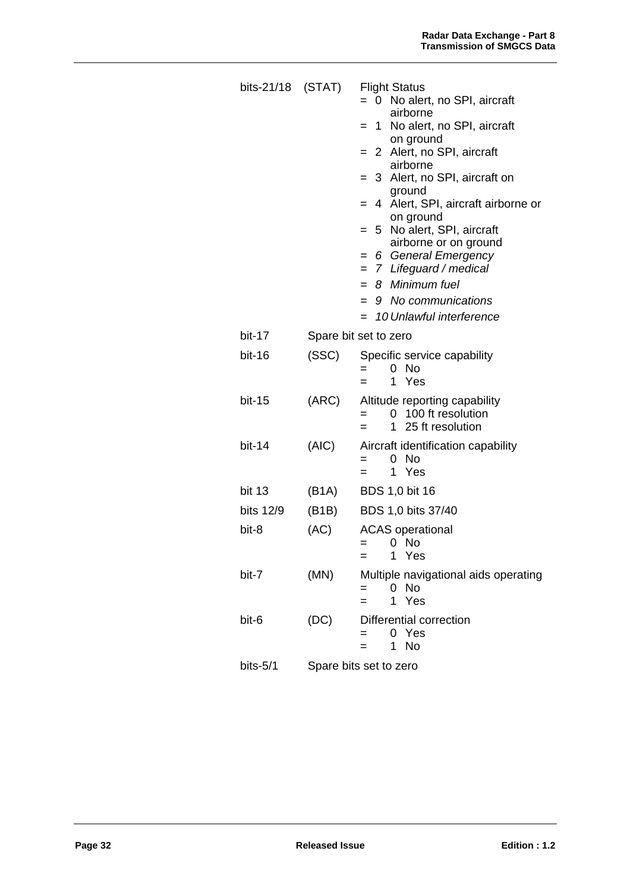| bits-21/18 | (STAT) | <b>Flight Status</b>                                                                          |
|------------|--------|-----------------------------------------------------------------------------------------------|
|            |        | $= 0$ No alert, no SPI, aircraft<br>airborne                                                  |
|            |        | 1 No alert, no SPI, aircraft                                                                  |
|            |        | on ground<br>$= 2$ Alert, no SPI, aircraft<br>airborne                                        |
|            |        | $= 3$ Alert, no SPI, aircraft on                                                              |
|            |        | ground<br>= 4 Alert, SPI, aircraft airborne or                                                |
|            |        | on ground                                                                                     |
|            |        | No alert, SPI, aircraft<br>$= 5$<br>airborne or on ground                                     |
|            |        | = 6 General Emergency<br>= 7 Lifeguard / medical                                              |
|            |        | 8 Minimum fuel                                                                                |
|            |        | 9 No communications                                                                           |
|            |        | 10 Unlawful interference                                                                      |
| $bit-17$   |        | Spare bit set to zero                                                                         |
| $bit-16$   | (SSC)  | Specific service capability<br>No<br>0<br>$=$<br>1 Yes                                        |
| $bit-15$   | (ARC)  | Altitude reporting capability<br>100 ft resolution<br>0<br>=<br>25 ft resolution<br>1.<br>$=$ |
| $bit-14$   | (AIC)  | Aircraft identification capability<br><b>No</b><br>0<br>1 Yes<br>$=$                          |
| bit 13     | (B1A)  | <b>BDS 1,0 bit 16</b>                                                                         |
| bits 12/9  | (B1B)  | BDS 1,0 bits 37/40                                                                            |
| bit-8      | (AC)   | <b>ACAS</b> operational<br>0 No<br>$=$<br>1 Yes                                               |
| bit-7      | (MN)   | Multiple navigational aids operating<br>0 No<br>$=$<br>1 Yes                                  |
| bit-6      | (DC)   | Differential correction<br>0 Yes<br>No<br>1                                                   |
| bits-5/1   |        | Spare bits set to zero                                                                        |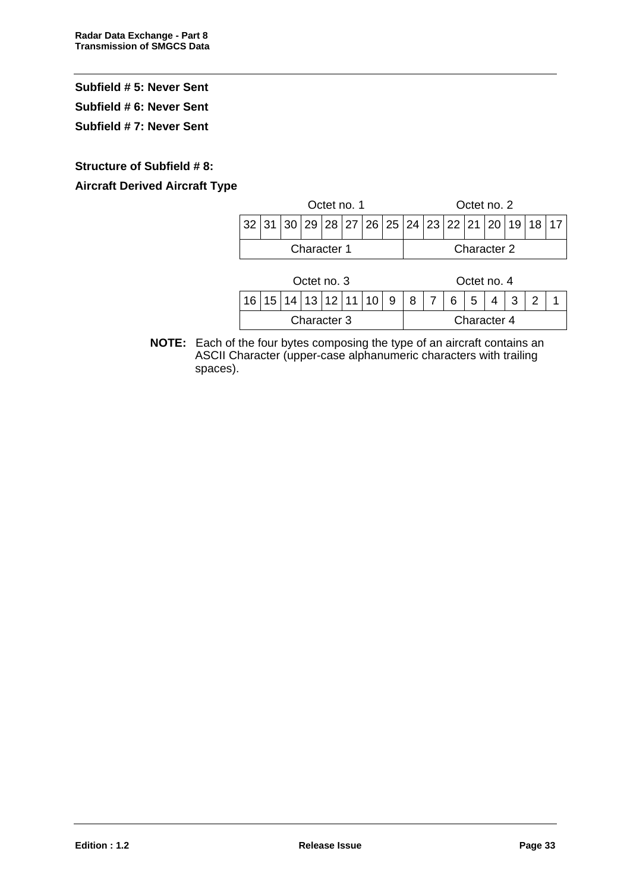**Subfield # 5: Never Sent** 

**Subfield # 6: Never Sent** 

**Subfield # 7: Never Sent** 

**Structure of Subfield # 8:** 

#### **Aircraft Derived Aircraft Type**

|                    |  |  |  | Octet no. 1 |  |  |                                                 |  |             |  | Octet no. 2 |  |  |  |  |
|--------------------|--|--|--|-------------|--|--|-------------------------------------------------|--|-------------|--|-------------|--|--|--|--|
|                    |  |  |  |             |  |  | 32 31 30 29 28 27 26 25 24 23 22 21 20 19 18 17 |  |             |  |             |  |  |  |  |
| <b>Character 1</b> |  |  |  |             |  |  |                                                 |  | Character 2 |  |             |  |  |  |  |
| Octet no. 3        |  |  |  |             |  |  |                                                 |  |             |  | Octet no. 4 |  |  |  |  |

|                 |  |  | Octet no. 3 |  |  |                             |   |   |   | Octet no. 4 |  |  |
|-----------------|--|--|-------------|--|--|-----------------------------|---|---|---|-------------|--|--|
| 16 <sup>1</sup> |  |  |             |  |  | 15   14   13   12   11   10 | 9 | 8 | 6 | 5           |  |  |
| Character 3     |  |  |             |  |  |                             |   |   |   | Character 4 |  |  |

**NOTE:** Each of the four bytes composing the type of an aircraft contains an ASCII Character (upper-case alphanumeric characters with trailing spaces).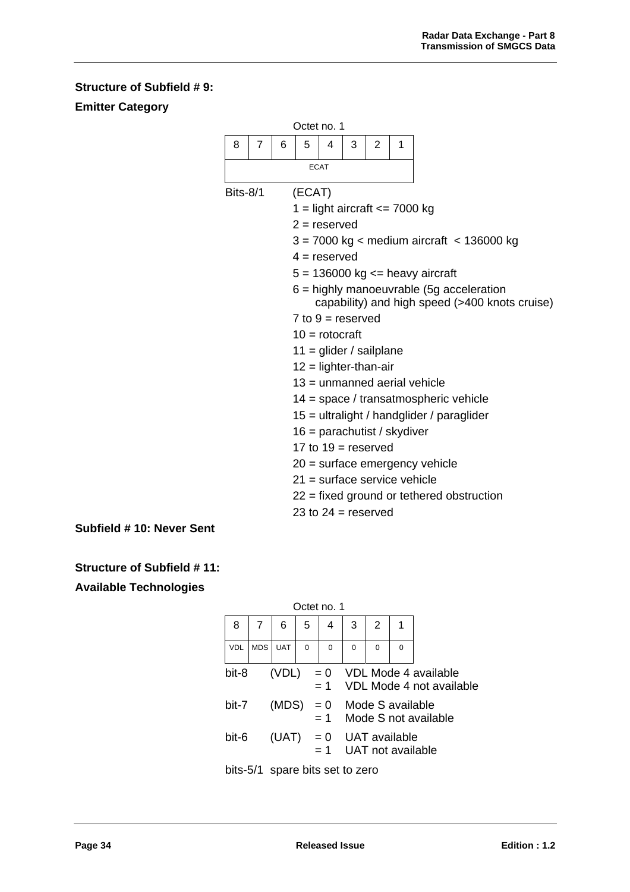#### **Structure of Subfield # 9:**

#### **Emitter Category**



**Subfield # 10: Never Sent** 

#### **Structure of Subfield # 11:**

#### **Available Technologies**

|                                                                                      |            |            |   | Octet no. 1    |                     |   |                  |                      |  |  |
|--------------------------------------------------------------------------------------|------------|------------|---|----------------|---------------------|---|------------------|----------------------|--|--|
| 8                                                                                    | 7          | 6          | 5 | 4              | 3                   | 2 | 1                |                      |  |  |
| <b>VDL</b>                                                                           | <b>MDS</b> | <b>UAT</b> | 0 | 0              | 0                   | 0 | $\Omega$         |                      |  |  |
| bit-8<br>VDL Mode 4 available<br>(VDL)<br>$= 0$<br>$= 1$<br>VDL Mode 4 not available |            |            |   |                |                     |   |                  |                      |  |  |
| bit-7                                                                                |            | (MDS)      |   | $= 0$<br>$= 1$ |                     |   | Mode S available | Mode S not available |  |  |
| bit-6                                                                                |            | (UAT)      |   | $= 1$          | $= 0$ UAT available |   |                  | UAT not available    |  |  |
| bits-5/1 spare bits set to zero                                                      |            |            |   |                |                     |   |                  |                      |  |  |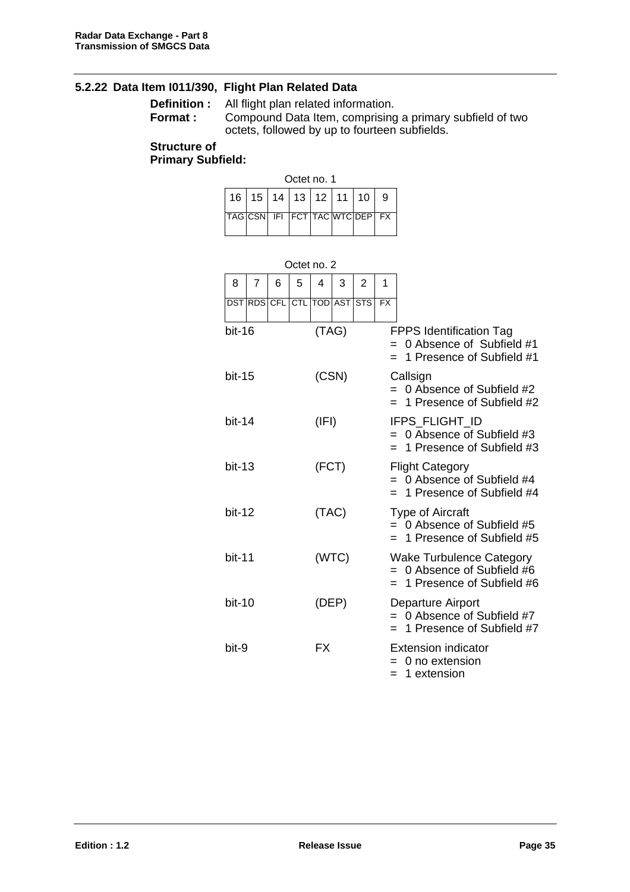#### **5.2.22 Data Item I011/390, Flight Plan Related Data**

**Definition :** All flight plan related information.

**Format :** Compound Data Item, comprising a primary subfield of two octets, followed by up to fourteen subfields.

#### **Structure of Primary Subfield:**

|  | Octet no. 1 |  |                                                |  |
|--|-------------|--|------------------------------------------------|--|
|  |             |  | $16$   $15$   $14$   $13$   $12$   $11$   $10$ |  |
|  |             |  | TAG CSN IFI FCT TAC WTC DEP FX                 |  |

|          |                             |   | Octet no. 2 |       |       |                |                 |                                                                                                        |
|----------|-----------------------------|---|-------------|-------|-------|----------------|-----------------|--------------------------------------------------------------------------------------------------------|
| 8        | 7                           | 6 | 5           | 4     | 3     | $\overline{2}$ | 1               |                                                                                                        |
|          | DST RDS CFL CTL TOD AST STS |   |             |       |       |                | $\overline{FX}$ |                                                                                                        |
| $bit-16$ |                             |   |             | (TAG) |       |                |                 | <b>FPPS Identification Tag</b><br>$= 0$ Absence of Subfield #1<br>1 Presence of Subfield #1<br>$=$ $-$ |
| $bit-15$ |                             |   |             | (CSN) |       |                |                 | Callsign<br>$= 0$ Absence of Subfield #2<br>1 Presence of Subfield #2<br>$=$ $-$                       |
| $bit-14$ |                             |   |             | (IFI) |       |                |                 | IFPS_FLIGHT_ID<br>$= 0$ Absence of Subfield #3<br>1 Presence of Subfield #3                            |
| $bit-13$ |                             |   |             | (FCT) |       |                |                 | <b>Flight Category</b><br>$=$ 0 Absence of Subfield #4<br>1 Presence of Subfield #4<br>$=$             |
| bit-12   |                             |   |             | (TAC) |       |                |                 | <b>Type of Aircraft</b><br>$= 0$ Absence of Subfield #5<br>$=$ 1 Presence of Subfield #5               |
| bit-11   |                             |   |             |       | (WTC) |                |                 | <b>Wake Turbulence Category</b><br>$= 0$ Absence of Subfield #6<br>1 Presence of Subfield #6           |
| $bit-10$ |                             |   |             | (DEP) |       |                |                 | Departure Airport<br>$= 0$ Absence of Subfield #7<br>1 Presence of Subfield #7                         |
| bit-9    |                             |   |             | FX    |       |                |                 | <b>Extension indicator</b><br>0 no extension<br>= 1 extension                                          |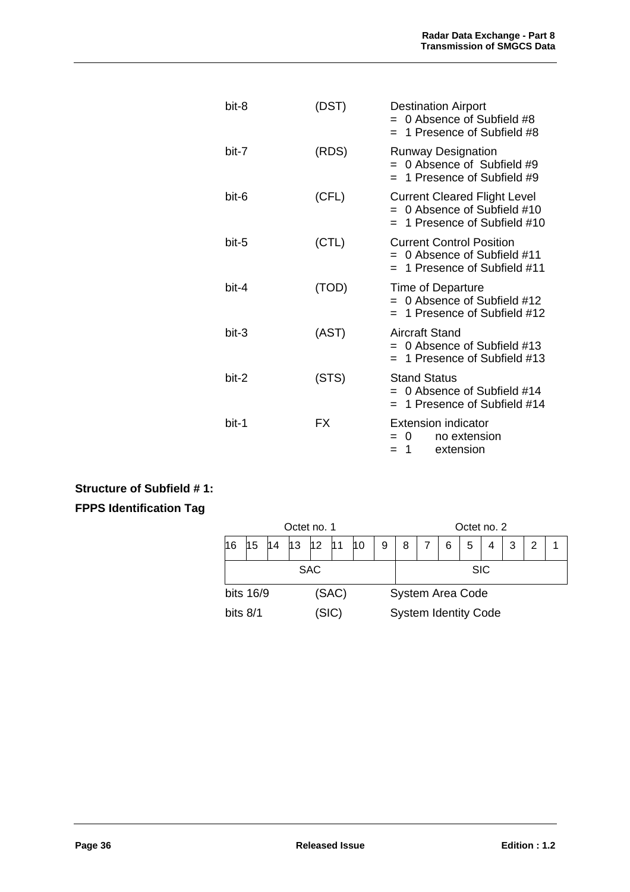| bit-8   | (DST) | <b>Destination Airport</b><br>$= 0$ Absence of Subfield #8<br>= 1 Presence of Subfield #8          |
|---------|-------|----------------------------------------------------------------------------------------------------|
| bit-7   | (RDS) | <b>Runway Designation</b><br>$= 0$ Absence of Subfield #9<br>1 Presence of Subfield #9             |
| bit-6   | (CFL) | <b>Current Cleared Flight Level</b><br>$= 0$ Absence of Subfield #10<br>1 Presence of Subfield #10 |
| bit-5   | (CTL) | <b>Current Control Position</b><br>$= 0$ Absence of Subfield #11<br>= 1 Presence of Subfield #11   |
| bit-4   | (TOD) | Time of Departure<br>= 0 Absence of Subfield #12<br>1 Presence of Subfield #12                     |
| $bit-3$ | (AST) | Aircraft Stand<br>$= 0$ Absence of Subfield #13<br>1 Presence of Subfield #13                      |
| bit-2   | (STS) | <b>Stand Status</b><br>$=$ 0 Absence of Subfield #14<br>1 Presence of Subfield #14                 |
| bit-1   | FX    | <b>Extension indicator</b><br>no extension<br>0<br>extension<br>1                                  |

# **Structure of Subfield # 1:**

# **FPPS Identification Tag**

|    |            |    | Octet no. 1<br>Octet no. 2<br>$ 13 \t12 \t11$<br>10<br>8<br>5<br>9<br>6<br><b>SAC</b><br><b>SIC</b><br>(SAC)<br>System Area Code |       |  |  |  |  |  |  |  |                             |  |  |  |
|----|------------|----|----------------------------------------------------------------------------------------------------------------------------------|-------|--|--|--|--|--|--|--|-----------------------------|--|--|--|
| 16 | 15         | 14 |                                                                                                                                  |       |  |  |  |  |  |  |  | <b>System Identity Code</b> |  |  |  |
|    |            |    |                                                                                                                                  |       |  |  |  |  |  |  |  |                             |  |  |  |
|    | bits 16/9  |    |                                                                                                                                  |       |  |  |  |  |  |  |  |                             |  |  |  |
|    | bits $8/1$ |    |                                                                                                                                  | (SIC) |  |  |  |  |  |  |  |                             |  |  |  |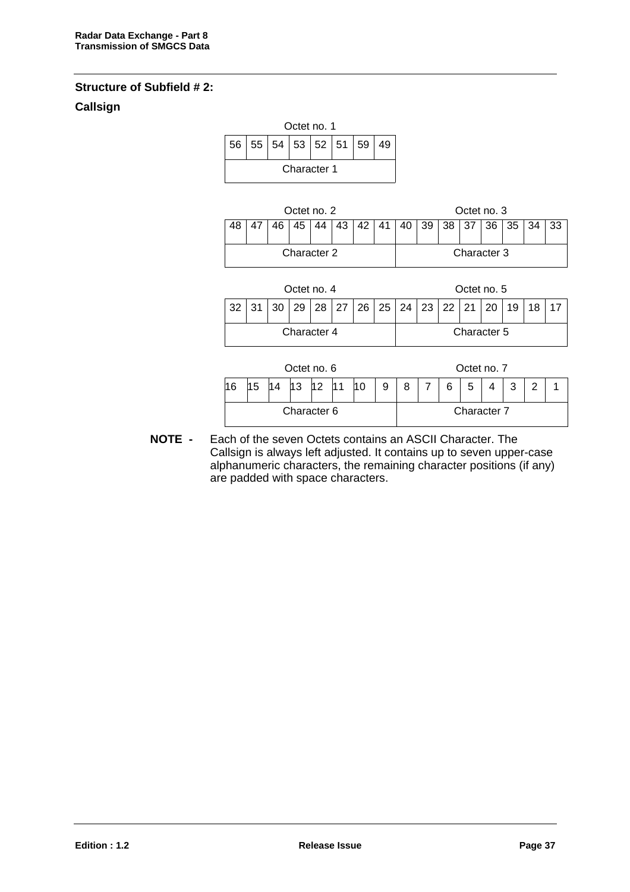#### **Structure of Subfield # 2:**

#### **Callsign**

|  |                         | Octet no. 1 |  |  |
|--|-------------------------|-------------|--|--|
|  | 56 55 54 53 52 51 59 49 |             |  |  |
|  |                         | Character 1 |  |  |

|    |  | Octet no. 2        |    |    |    |    |          | Octet no. 3 |     |        |     |    |
|----|--|--------------------|----|----|----|----|----------|-------------|-----|--------|-----|----|
| 48 |  | 45                 | 44 | 43 | 42 | 41 | 40 39 38 | -37         | -36 | ' 35 . | -34 | 33 |
|    |  | <b>Character 2</b> |    |    |    |    |          | Character 3 |     |        |     |    |
|    |  |                    |    |    |    |    |          |             |     |        |     |    |

|  | Octet no. 4 |                                  |  |  |  | Octet no. 5 |                 |  |
|--|-------------|----------------------------------|--|--|--|-------------|-----------------|--|
|  |             | 30 29 28 27 26 25 24 23 22 21 20 |  |  |  |             | 19 <sup>1</sup> |  |
|  | Character 4 |                                  |  |  |  | Character 5 |                 |  |

|    |    | Octet no. 6    |     |   |  |   | Octet no. 7 |   |  |
|----|----|----------------|-----|---|--|---|-------------|---|--|
| 16 | 14 | $13 \t12 \t11$ | ח 1 | 8 |  | 5 |             | 2 |  |
|    |    | Character 6    |     |   |  |   | Character 7 |   |  |

**NOTE -** Each of the seven Octets contains an ASCII Character. The Callsign is always left adjusted. It contains up to seven upper-case alphanumeric characters, the remaining character positions (if any) are padded with space characters.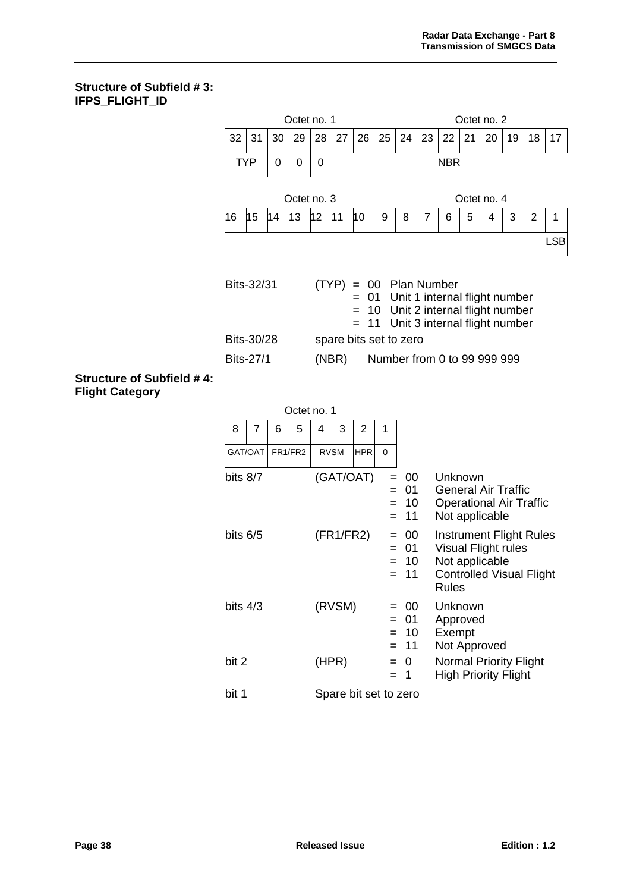#### **Structure of Subfield # 3: IFPS\_FLIGHT\_ID**

|                                                            | Octet no. 1<br>Octet no. 2                                                                                                                                                                                      |                  |                                                                                                                         |             |           |             |                                              |                             |                    |                |            |                                                                                                 |    |    |                                |            |
|------------------------------------------------------------|-----------------------------------------------------------------------------------------------------------------------------------------------------------------------------------------------------------------|------------------|-------------------------------------------------------------------------------------------------------------------------|-------------|-----------|-------------|----------------------------------------------|-----------------------------|--------------------|----------------|------------|-------------------------------------------------------------------------------------------------|----|----|--------------------------------|------------|
|                                                            | 32                                                                                                                                                                                                              | 31               | 30                                                                                                                      | 29          | 28        | 27          | 26                                           | 25                          | 24                 | 23             | 22         | 21                                                                                              | 20 | 19 | 18                             | 17         |
|                                                            |                                                                                                                                                                                                                 | <b>TYP</b>       | 0                                                                                                                       | 0           | $\pmb{0}$ |             |                                              |                             |                    |                | <b>NBR</b> |                                                                                                 |    |    |                                |            |
|                                                            |                                                                                                                                                                                                                 |                  |                                                                                                                         | Octet no. 3 |           |             |                                              |                             |                    |                |            | Octet no. 4                                                                                     |    |    |                                |            |
|                                                            | 16                                                                                                                                                                                                              | 15               | 14                                                                                                                      | 13          | 12        | 11          | 10                                           | 9                           | 8                  | $\overline{7}$ | 6          | 5                                                                                               | 4  | 3  | $\overline{2}$                 | 1          |
|                                                            |                                                                                                                                                                                                                 |                  |                                                                                                                         |             |           |             |                                              |                             |                    |                |            |                                                                                                 |    |    |                                | <b>LSB</b> |
|                                                            |                                                                                                                                                                                                                 | Bits-32/31       |                                                                                                                         |             |           |             | $(TYP) = 00$ Plan Number<br>$=$<br>11<br>$=$ | 01<br>10 <sup>1</sup>       |                    |                |            | Unit 1 internal flight number<br>Unit 2 internal flight number<br>Unit 3 internal flight number |    |    |                                |            |
|                                                            |                                                                                                                                                                                                                 | Bits-30/28       |                                                                                                                         |             |           |             | spare bits set to zero                       |                             |                    |                |            |                                                                                                 |    |    |                                |            |
| <b>Structure of Subfield #4:</b><br><b>Flight Category</b> |                                                                                                                                                                                                                 | <b>Bits-27/1</b> |                                                                                                                         |             |           | (NBR)       |                                              | Number from 0 to 99 999 999 |                    |                |            |                                                                                                 |    |    |                                |            |
|                                                            | Octet no. 1                                                                                                                                                                                                     |                  |                                                                                                                         |             |           |             |                                              |                             |                    |                |            |                                                                                                 |    |    |                                |            |
|                                                            | 8                                                                                                                                                                                                               | $\overline{7}$   | 6                                                                                                                       | 5           | 4         | 3           | $\overline{2}$                               | 1                           |                    |                |            |                                                                                                 |    |    |                                |            |
|                                                            |                                                                                                                                                                                                                 | GAT/OAT          |                                                                                                                         | FR1/FR2     |           | <b>RVSM</b> | <b>HPR</b>                                   | $\mathbf 0$                 |                    |                |            |                                                                                                 |    |    |                                |            |
|                                                            | bits 8/7                                                                                                                                                                                                        |                  |                                                                                                                         |             |           |             | (GAT/OAT)                                    | $=$<br>$=$<br>=             | $00\,$<br>01<br>10 |                |            | Unknown<br><b>General Air Traffic</b>                                                           |    |    | <b>Operational Air Traffic</b> |            |
|                                                            | 11<br>Not applicable<br>$=$<br>bits 6/5<br>(FR1/FR2)<br>00<br><b>Instrument Flight Rules</b><br>$=$<br>01<br>Visual Flight rules<br>10<br>Not applicable<br>11<br><b>Controlled Visual Flight</b><br>=<br>Rules |                  |                                                                                                                         |             |           |             |                                              |                             |                    |                |            |                                                                                                 |    |    |                                |            |
|                                                            | bits 4/3<br>(RVSM)<br>Unknown<br>- 00<br>$=$<br>01<br>Approved<br>10<br>Exempt<br>$=$<br>Not Approved<br>11<br>$=$                                                                                              |                  |                                                                                                                         |             |           |             |                                              |                             |                    |                |            |                                                                                                 |    |    |                                |            |
|                                                            | bit 2                                                                                                                                                                                                           |                  | (HPR)<br><b>Normal Priority Flight</b><br>$\overline{0}$<br>$=$<br><b>High Priority Flight</b><br>$\overline{1}$<br>$=$ |             |           |             |                                              |                             |                    |                |            |                                                                                                 |    |    |                                |            |
|                                                            | bit 1                                                                                                                                                                                                           |                  |                                                                                                                         |             |           |             | Spare bit set to zero                        |                             |                    |                |            |                                                                                                 |    |    |                                |            |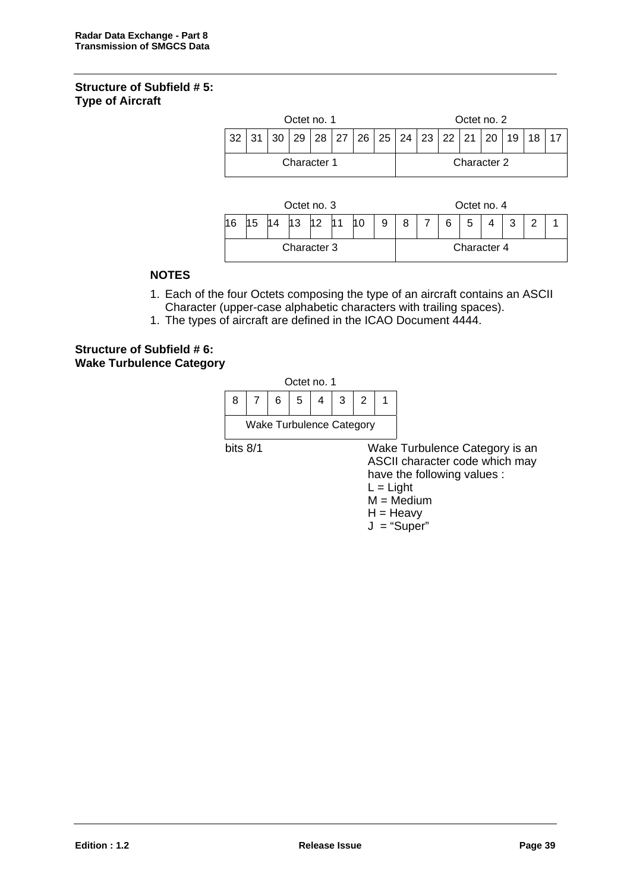#### **Structure of Subfield # 5: Type of Aircraft**





#### **NOTES**

- 1. Each of the four Octets composing the type of an aircraft contains an ASCII Character (upper-case alphabetic characters with trailing spaces).
- 1. The types of aircraft are defined in the ICAO Document 4444.

#### **Structure of Subfield # 6: Wake Turbulence Category**



bits 8/1 Wake Turbulence Category is an ASCII character code which may have the following values :  $L =$ Light

- $M = Medium$
- $H = Heavy$
- $J = "Super"$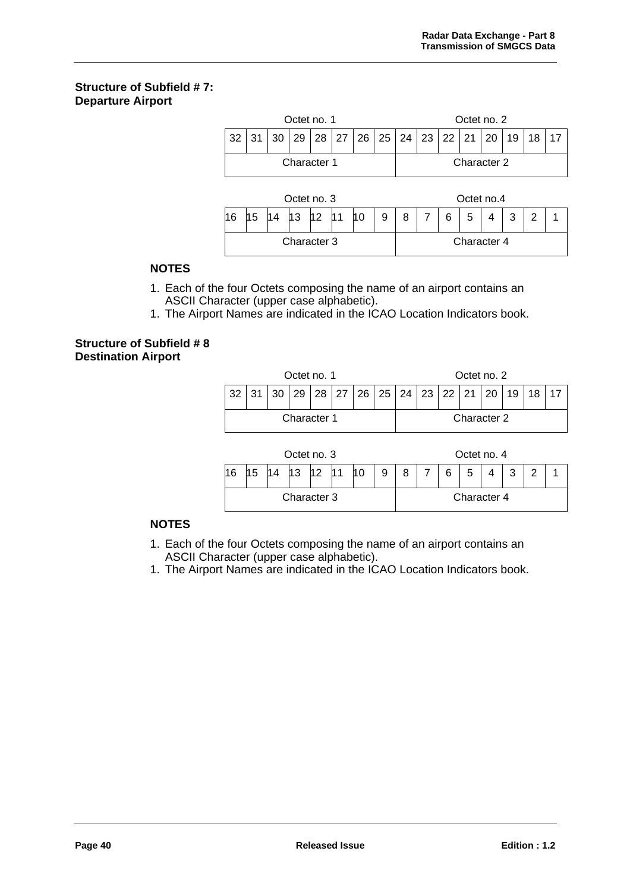#### **Structure of Subfield # 7: Departure Airport**

|  |                                                                | Octet no. 1 |  |  |  |  |  |  | Octet no. 2        |  |  |
|--|----------------------------------------------------------------|-------------|--|--|--|--|--|--|--------------------|--|--|
|  | 30   29   28   27   26   25   24   23   22   21   20   19   18 |             |  |  |  |  |  |  |                    |  |  |
|  |                                                                | Character 1 |  |  |  |  |  |  | <b>Character 2</b> |  |  |

|    |    |              | Octet no. 3     |                  |   |   |   |   | Octet no.4  |   |  |
|----|----|--------------|-----------------|------------------|---|---|---|---|-------------|---|--|
| 16 | 15 | $\mathbf{A}$ | $ 13 \t12 \t11$ | 10 <sup>10</sup> | 9 | 8 | 6 | 5 |             | 2 |  |
|    |    |              | Character 3     |                  |   |   |   |   | Character 4 |   |  |

#### **NOTES**

- 1. Each of the four Octets composing the name of an airport contains an ASCII Character (upper case alphabetic).
- 1. The Airport Names are indicated in the ICAO Location Indicators book.

#### **Structure of Subfield # 8 Destination Airport**

| Octet no. 1<br>32<br>Character 1 |  |                                                                |  |  |  |  |  |  | Octet no. 2 |  |  |  |
|----------------------------------|--|----------------------------------------------------------------|--|--|--|--|--|--|-------------|--|--|--|
|                                  |  | 30   29   28   27   26   25   24   23   22   21   20   19   18 |  |  |  |  |  |  |             |  |  |  |
|                                  |  |                                                                |  |  |  |  |  |  | Character 2 |  |  |  |

|    | Octet no. 3<br>10 <sup>10</sup><br>$ 13 \t12 \t11$<br>14<br>15<br>Character 3 |  |  |  |  |  |   |   |                |   | Octet no. 4<br>5<br>Character 4 |  |  |  |  |
|----|-------------------------------------------------------------------------------|--|--|--|--|--|---|---|----------------|---|---------------------------------|--|--|--|--|
| 16 |                                                                               |  |  |  |  |  | 9 | 8 | $\overline{ }$ | 6 |                                 |  |  |  |  |
|    |                                                                               |  |  |  |  |  |   |   |                |   |                                 |  |  |  |  |

### **NOTES**

- 1. Each of the four Octets composing the name of an airport contains an ASCII Character (upper case alphabetic).
- 1. The Airport Names are indicated in the ICAO Location Indicators book.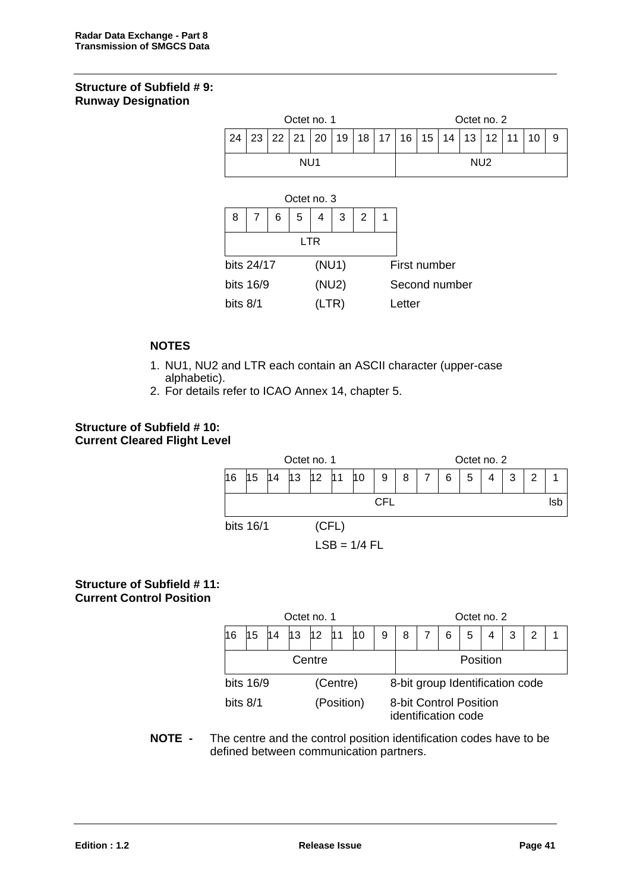#### **Structure of Subfield # 9: Runway Designation**

|    |                                                                             |  |  |  |  |  |  |                 | Octet no. 2 |  |  |
|----|-----------------------------------------------------------------------------|--|--|--|--|--|--|-----------------|-------------|--|--|
| 24 |                                                                             |  |  |  |  |  |  |                 |             |  |  |
|    | Octet no. 1<br>23 22 21 20 19 18 17 16 15 14 13 12 11 10<br>NU <sub>1</sub> |  |  |  |  |  |  | NU <sub>2</sub> |             |  |  |



### **NOTES**

- 1. NU1, NU2 and LTR each contain an ASCII character (upper-case alphabetic).
- 2. For details refer to ICAO Annex 14, chapter 5.

#### **Structure of Subfield # 10: Current Cleared Flight Level**



#### **Structure of Subfield # 11: Current Control Position**

|            |    | Octet no. 1 |                  |            |    |                                 |   |  |   | Octet no. 2                                   |   |   |  |  |
|------------|----|-------------|------------------|------------|----|---------------------------------|---|--|---|-----------------------------------------------|---|---|--|--|
| 5          | 14 | 13          | 12 <sup>12</sup> |            | 10 | 9                               | 8 |  | 6 | 5                                             | 4 | 3 |  |  |
|            |    |             | Centre           |            |    | Position                        |   |  |   |                                               |   |   |  |  |
| bits 16/9  |    |             |                  | (Centre)   |    | 8-bit group Identification code |   |  |   |                                               |   |   |  |  |
| bits $8/1$ |    |             |                  | (Position) |    |                                 |   |  |   | 8-bit Control Position<br>identification code |   |   |  |  |

**NOTE -** The centre and the control position identification codes have to be defined between communication partners.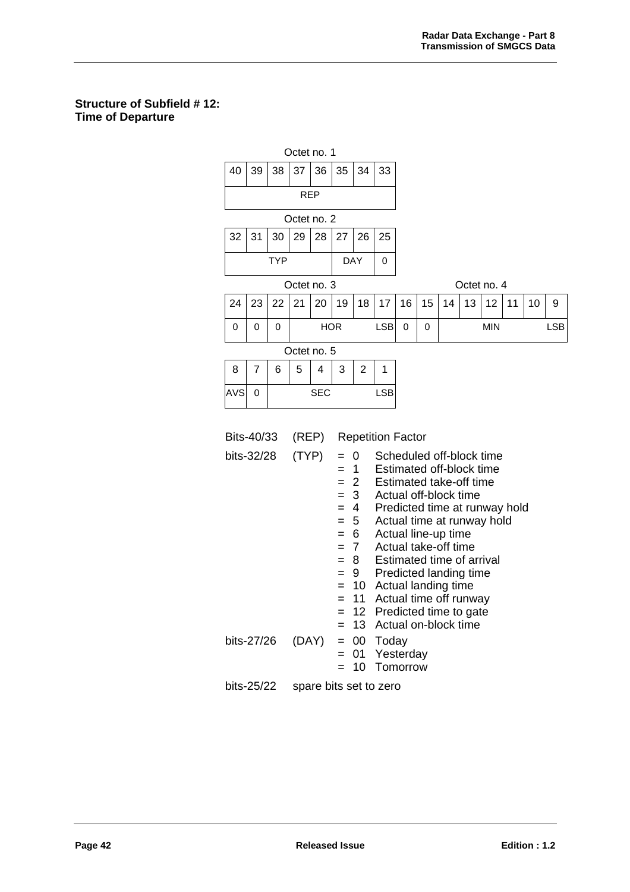#### **Structure of Subfield # 12: Time of Departure**

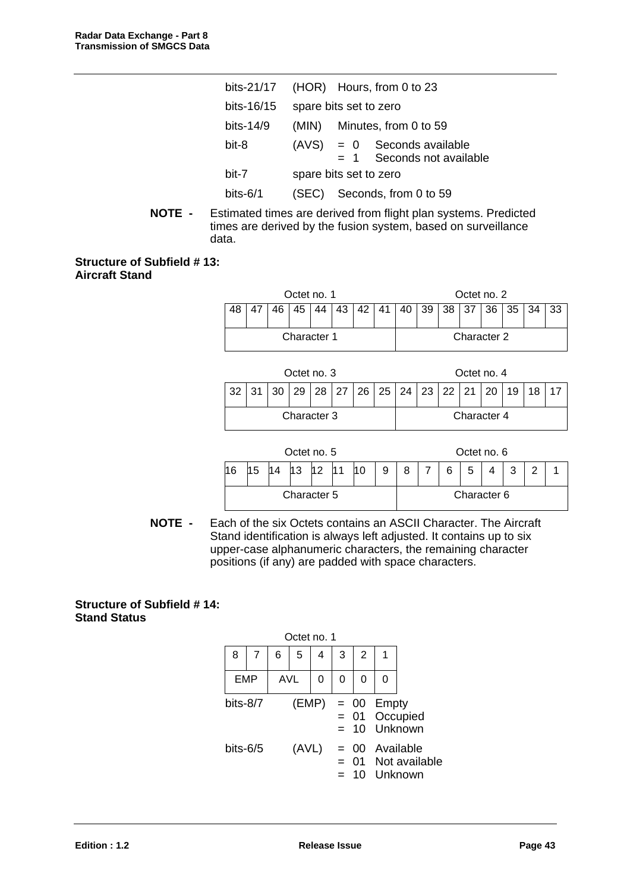| bits-21/17   |       | (HOR) Hours, from 0 to 23                                    |
|--------------|-------|--------------------------------------------------------------|
| bits-16/15   |       | spare bits set to zero                                       |
| bits- $14/9$ | (MIN) | Minutes, from 0 to 59                                        |
| bit-8        |       | $(AVS) = 0$ Seconds available<br>$= 1$ Seconds not available |
| bit-7        |       | spare bits set to zero                                       |
| $bits-6/1$   | (SEC) | Seconds, from 0 to 59                                        |

**NOTE -** Estimated times are derived from flight plan systems. Predicted times are derived by the fusion system, based on surveillance data.

**Structure of Subfield # 13: Aircraft Stand** 





|    |    |    | Octet no. 5 |    |                            |  |   |                |   |   |   |  |
|----|----|----|-------------|----|----------------------------|--|---|----------------|---|---|---|--|
| 16 | 15 | 14 | $13$ $12$   | 11 | 10                         |  | 8 | $\overline{ }$ | 6 | 5 | ົ |  |
|    |    |    | Character 5 |    | Octet no. 6<br>Character 6 |  |   |                |   |   |   |  |

**NOTE -** Each of the six Octets contains an ASCII Character. The Aircraft Stand identification is always left adjusted. It contains up to six upper-case alphanumeric characters, the remaining character positions (if any) are padded with space characters.

#### **Structure of Subfield # 14: Stand Status**

|            |   |     |       | Octet no. 1 |            |    |              |                                             |
|------------|---|-----|-------|-------------|------------|----|--------------|---------------------------------------------|
| 8          | 7 | 6   | 5     | 4           | 3          | 2  | 1            |                                             |
| <b>EMP</b> |   | AVL |       | 0           | 0          | 0  | 0            |                                             |
| $bits-8/7$ |   |     | (EMP) |             |            |    | $= 00$ Empty | $= 01$ Occupied<br>$= 10$ Unknown           |
| $bits-6/5$ |   |     | (AVL) |             | $=$<br>$=$ | 00 |              | Available<br>01 Not available<br>10 Unknown |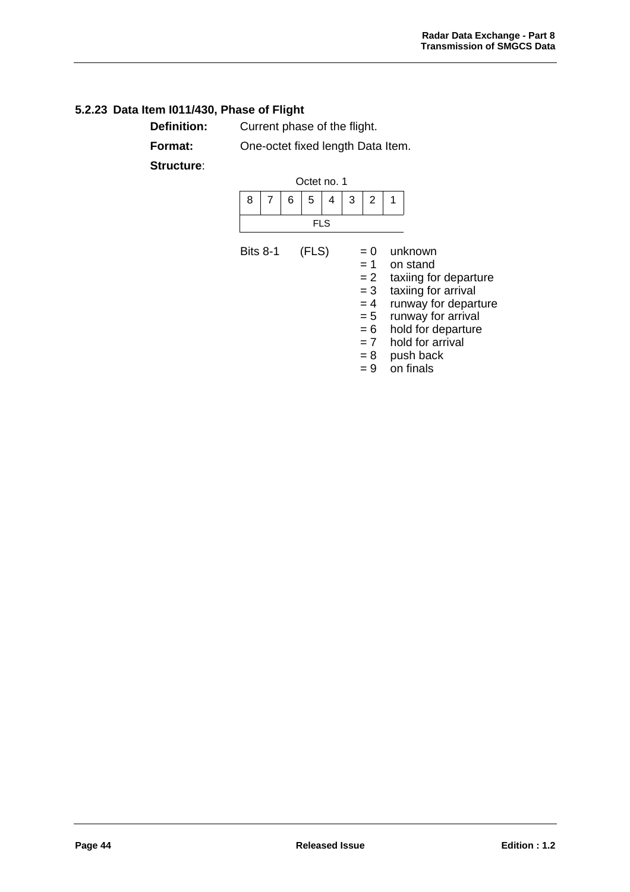# **5.2.23 Data Item I011/430, Phase of Flight**

**Definition:** Current phase of the flight.

Format: One-octet fixed length Data Item.

 **Structure**:

Octet no. 1

| <b>0000000000000</b> |  |   |   |  |   |   |  |  |  |  |  |  |
|----------------------|--|---|---|--|---|---|--|--|--|--|--|--|
| 8                    |  | 6 | 5 |  | 3 | 2 |  |  |  |  |  |  |
| <b>FLS</b>           |  |   |   |  |   |   |  |  |  |  |  |  |
|                      |  |   |   |  |   |   |  |  |  |  |  |  |

Bits 8-1  $(FLS) = 0$  unknown

- $= 1$  on stand
- $= 2$  taxiing for departure
- $= 3$  taxiing for arrival
- $= 4$  runway for departure
- $= 5$  runway for arrival
- $= 6$  hold for departure
- $= 7$  hold for arrival
- $= 8$  push back
- $= 9$  on finals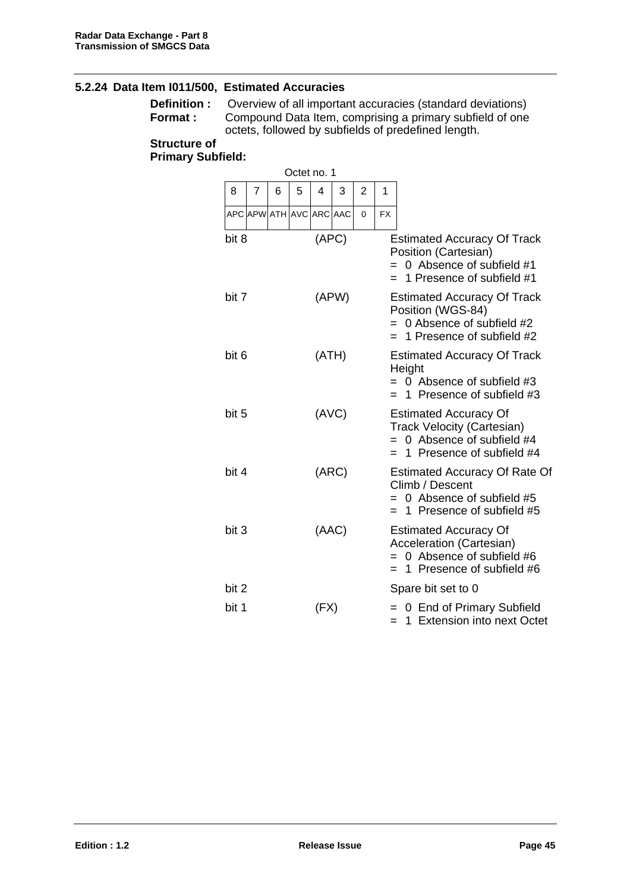#### **5.2.24 Data Item I011/500, Estimated Accuracies**

**Definition :** Overview of all important accuracies (standard deviations) Format : Compound Data Item, comprising a primary subfield of one octets, followed by subfields of predefined length.

#### **Structure of Primary Subfield:**

|       |                |   |   | Octet no. 1             |       |                |           |                                                                                                                                       |
|-------|----------------|---|---|-------------------------|-------|----------------|-----------|---------------------------------------------------------------------------------------------------------------------------------------|
| 8     | $\overline{7}$ | 6 | 5 | 4                       | 3     | $\overline{2}$ | 1         |                                                                                                                                       |
|       |                |   |   | APC APW ATH AVC ARC AAC |       | $\mathbf{0}$   | <b>FX</b> |                                                                                                                                       |
| bit 8 |                |   |   | (APC)                   |       |                |           | <b>Estimated Accuracy Of Track</b><br>Position (Cartesian)<br>$= 0$ Absence of subfield #1<br>1 Presence of subfield #1<br>$=$ $-$    |
| bit 7 |                |   |   |                         | (APW) |                |           | <b>Estimated Accuracy Of Track</b><br>Position (WGS-84)<br>$= 0$ Absence of subfield #2<br>1 Presence of subfield #2<br>$=$ $-$       |
| bit 6 |                |   |   | (ATH)                   |       |                |           | <b>Estimated Accuracy Of Track</b><br>Height<br>$= 0$ Absence of subfield #3<br>1 Presence of subfield #3                             |
| bit 5 |                |   |   | (AVC)                   |       |                |           | <b>Estimated Accuracy Of</b><br><b>Track Velocity (Cartesian)</b><br>$= 0$ Absence of subfield #4<br>1 Presence of subfield #4<br>$=$ |
| bit 4 |                |   |   |                         | (ARC) |                |           | <b>Estimated Accuracy Of Rate Of</b><br>Climb / Descent<br>$= 0$ Absence of subfield #5<br>1 Presence of subfield #5<br>$=$           |
| bit 3 |                |   |   | (AAC)                   |       |                |           | <b>Estimated Accuracy Of</b><br>Acceleration (Cartesian)<br>$= 0$ Absence of subfield #6<br>1 Presence of subfield #6<br>$=$          |
| bit 2 |                |   |   |                         |       |                |           | Spare bit set to 0                                                                                                                    |
| bit 1 |                |   |   | (FX)                    |       |                | $=$       | = 0 End of Primary Subfield<br><b>Extension into next Octet</b><br>$\mathbf 1$                                                        |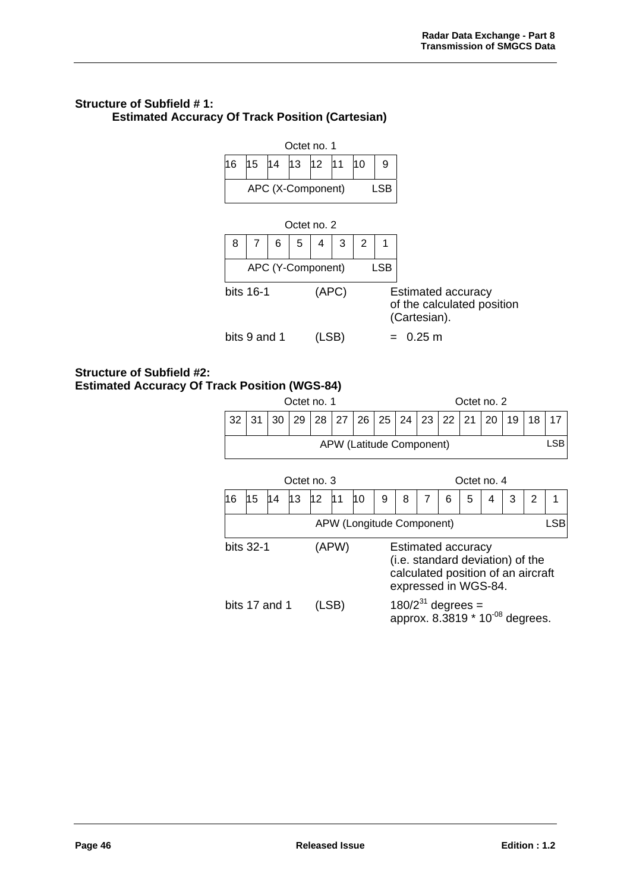#### **Structure of Subfield # 1: Estimated Accuracy Of Track Position (Cartesian)**



#### **Structure of Subfield #2: Estimated Accuracy Of Track Position (WGS-84)**

|                 |     |  | Octet no. 1 |                                                                |  |  | Octet no. 2 |  |       |
|-----------------|-----|--|-------------|----------------------------------------------------------------|--|--|-------------|--|-------|
| 32 <sup>1</sup> | -31 |  |             | 30   29   28   27   26   25   24   23   22   21   20   19   18 |  |  |             |  |       |
|                 |     |  |             | APW (Latitude Component)                                       |  |  |             |  | . SB- |

|                    |    |               | Octet no. 3 |                  |       |                           |   |   |   |                                                                                                                             |   | Octet no. 4 |   |   |     |
|--------------------|----|---------------|-------------|------------------|-------|---------------------------|---|---|---|-----------------------------------------------------------------------------------------------------------------------------|---|-------------|---|---|-----|
| 16                 | 15 | 14            | 13          | 12 <sup>12</sup> | 111   | 10                        | 9 | 8 | 7 | 6                                                                                                                           | 5 | 4           | 3 | 2 |     |
|                    |    |               |             |                  |       | APW (Longitude Component) |   |   |   |                                                                                                                             |   |             |   |   | LSB |
| bits 32-1<br>(APW) |    |               |             |                  |       |                           |   |   |   | <b>Estimated accuracy</b><br>(i.e. standard deviation) of the<br>calculated position of an aircraft<br>expressed in WGS-84. |   |             |   |   |     |
|                    |    | bits 17 and 1 |             |                  | (LSB) |                           |   |   |   | $180/2^{31}$ degrees =<br>approx. 8.3819 * 10 <sup>-08</sup> degrees.                                                       |   |             |   |   |     |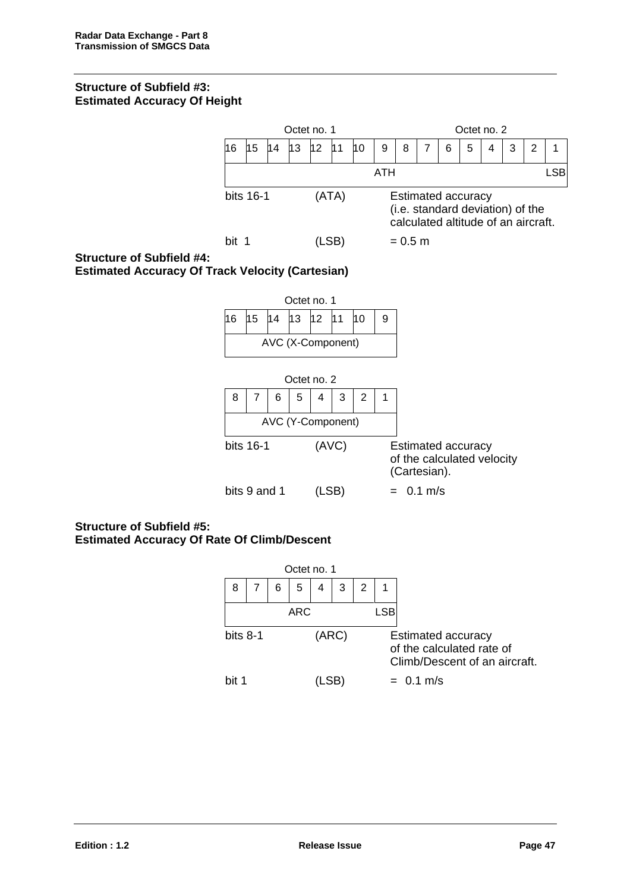#### **Structure of Subfield #3: Estimated Accuracy Of Height**







#### **Structure of Subfield #5: Estimated Accuracy Of Rate Of Climb/Descent**

|       |   |            |   |     | Octet no. 1 |       |   |      |                                                                                         |
|-------|---|------------|---|-----|-------------|-------|---|------|-----------------------------------------------------------------------------------------|
|       | 8 |            | 6 | 5   |             | 3     | 2 |      |                                                                                         |
|       |   |            |   | ARC |             |       |   | LSBI |                                                                                         |
|       |   | bits $8-1$ |   |     |             | (ARC) |   |      | <b>Estimated accuracy</b><br>of the calculated rate of<br>Climb/Descent of an aircraft. |
| hit 1 |   |            |   |     | (LSB)       |       |   |      | $= 0.1$ m/s                                                                             |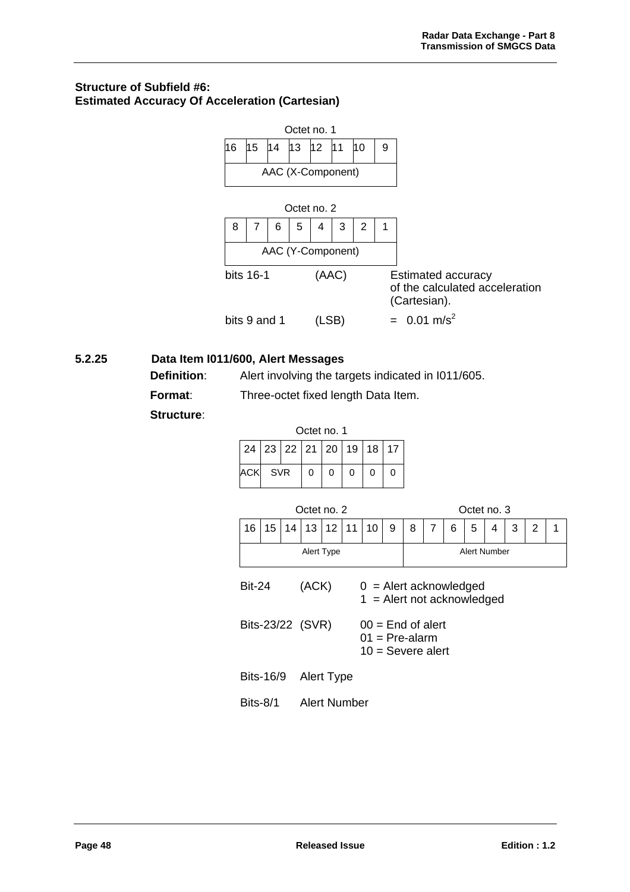#### **Structure of Subfield #6: Estimated Accuracy Of Acceleration (Cartesian)**



**5.2.25 Data Item I011/600, Alert Messages** 

**Definition:** Alert involving the targets indicated in 1011/605.

**Format:** Three-octet fixed length Data Item.

 **Structure**:

|     |            |   | Octet no. 1                             |  |   |
|-----|------------|---|-----------------------------------------|--|---|
|     |            |   | $24$   23   22   21   20   19   18   17 |  |   |
|     |            |   |                                         |  |   |
| ACK | <b>SVR</b> | O | O                                       |  | O |
|     |            |   |                                         |  |   |

| Octet no. 2     |                 |    |                                                                   |    |    |    |   | Octet no. 3                                                    |   |   |   |   |   |   |  |  |
|-----------------|-----------------|----|-------------------------------------------------------------------|----|----|----|---|----------------------------------------------------------------|---|---|---|---|---|---|--|--|
| 16              | 15 <sub>1</sub> | 14 | 13                                                                | 12 | 11 | 10 | 9 | 8                                                              | 7 | 6 | 5 | 4 | 3 | 2 |  |  |
| Alert Type      |                 |    |                                                                   |    |    |    |   | Alert Number                                                   |   |   |   |   |   |   |  |  |
| <b>Bit-24</b>   |                 |    | (ACK)<br>$0 =$ Alert acknowledged<br>$1 =$ Alert not acknowledged |    |    |    |   |                                                                |   |   |   |   |   |   |  |  |
|                 |                 |    | Bits-23/22 (SVR)                                                  |    |    |    |   | $00 =$ End of alert<br>$01 = Pre-alarm$<br>$10 =$ Severe alert |   |   |   |   |   |   |  |  |
|                 | Bits-16/9       |    | Alert Type                                                        |    |    |    |   |                                                                |   |   |   |   |   |   |  |  |
| <b>Bits-8/1</b> |                 |    | <b>Alert Number</b>                                               |    |    |    |   |                                                                |   |   |   |   |   |   |  |  |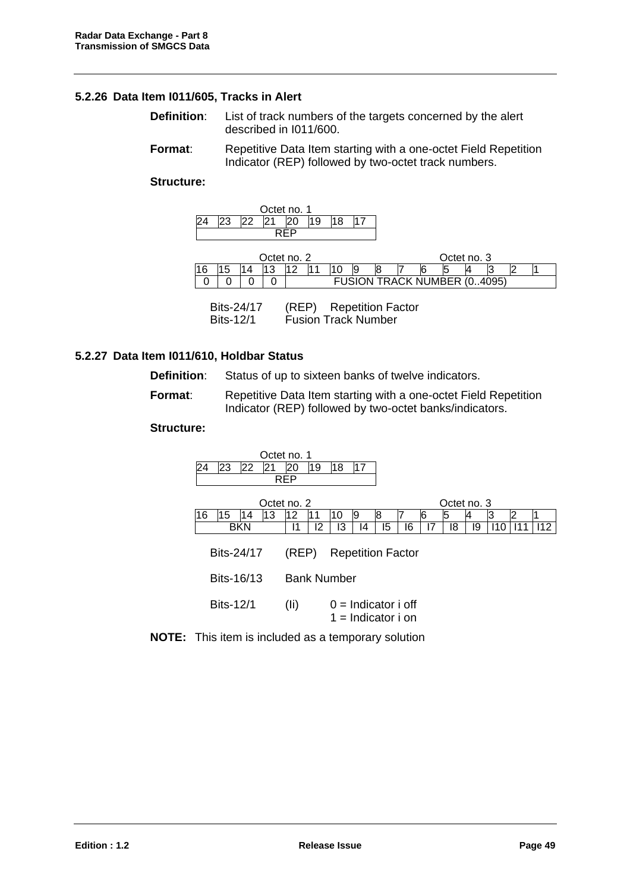#### **5.2.26 Data Item I011/605, Tracks in Alert**

- **Definition:** List of track numbers of the targets concerned by the alert described in I011/600.
- **Format:** Repetitive Data Item starting with a one-octet Field Repetition Indicator (REP) followed by two-octet track numbers.

#### **Structure:**



#### **5.2.27 Data Item I011/610, Holdbar Status**

**Definition**: Status of up to sixteen banks of twelve indicators.

**Format:** Repetitive Data Item starting with a one-octet Field Repetition Indicator (REP) followed by two-octet banks/indicators.

#### **Structure:**

| 23<br>22<br>24               | 21 | Octet no. 1<br><b>20</b><br><b>REP</b> | 19                 | 18                                              | 17                       |    |    |    |             |    |     |     |     |
|------------------------------|----|----------------------------------------|--------------------|-------------------------------------------------|--------------------------|----|----|----|-------------|----|-----|-----|-----|
|                              |    | Octet no. 2                            |                    |                                                 |                          |    |    |    | Octet no. 3 |    |     |     |     |
| 16<br>15 <sub>15</sub><br>14 | 13 | 12                                     | 11                 | 10                                              | 19                       | 18 |    | 6  | 15          | 14 | IЗ  | 12  |     |
| <b>BKN</b>                   |    | 11                                     | l2                 | IЗ                                              | 14                       | 15 | 16 | 17 | 18          | 19 | 110 | 111 | 112 |
| Bits-24/17                   |    |                                        | (REP)              |                                                 | <b>Repetition Factor</b> |    |    |    |             |    |     |     |     |
| Bits-16/13                   |    |                                        | <b>Bank Number</b> |                                                 |                          |    |    |    |             |    |     |     |     |
| <b>Bits-12/1</b>             |    | (I)                                    |                    | $0 = Indication$ i off<br>$1 = Indication$ i on |                          |    |    |    |             |    |     |     |     |

**NOTE:** This item is included as a temporary solution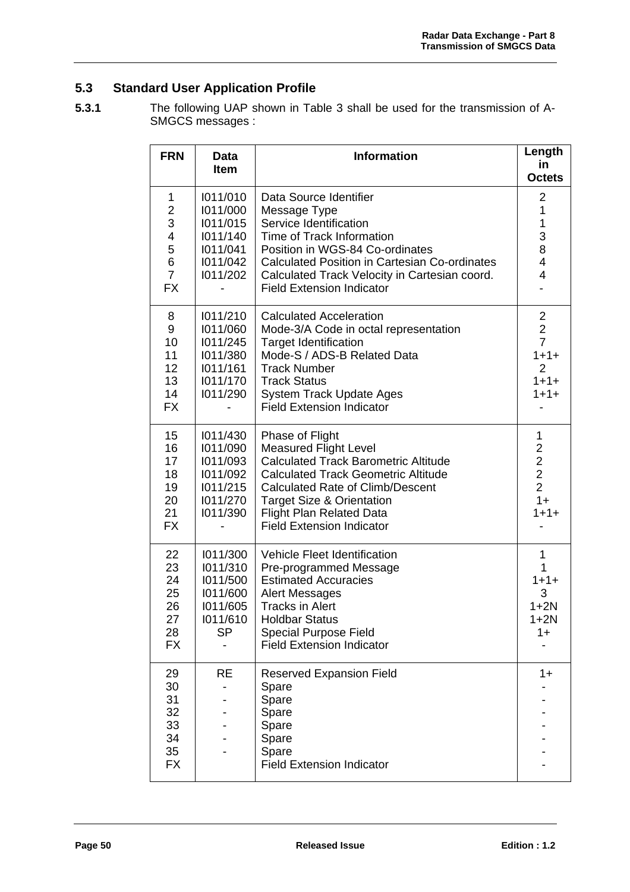# **5.3 Standard User Application Profile**

**5.3.1** The following UAP shown in Table 3 shall be used for the transmission of A-SMGCS messages :

| <b>FRN</b>                                                                                                | <b>Data</b><br><b>Item</b>                                                        | <b>Information</b>                                                                                                                                                                                                                                                                              | Length<br>in<br><b>Octets</b>                                                                           |
|-----------------------------------------------------------------------------------------------------------|-----------------------------------------------------------------------------------|-------------------------------------------------------------------------------------------------------------------------------------------------------------------------------------------------------------------------------------------------------------------------------------------------|---------------------------------------------------------------------------------------------------------|
| 1<br>$\overline{\mathbf{c}}$<br>3<br>$\overline{\mathbf{4}}$<br>5<br>$\,6$<br>$\overline{7}$<br><b>FX</b> | 1011/010<br>1011/000<br>1011/015<br>1011/140<br>1011/041<br>1011/042<br>1011/202  | Data Source Identifier<br>Message Type<br>Service Identification<br>Time of Track Information<br>Position in WGS-84 Co-ordinates<br><b>Calculated Position in Cartesian Co-ordinates</b><br>Calculated Track Velocity in Cartesian coord.<br><b>Field Extension Indicator</b>                   | $\overline{2}$<br>1<br>$\mathbf 1$<br>3<br>8<br>4<br>$\overline{4}$                                     |
| 8<br>$\boldsymbol{9}$<br>10<br>11<br>12<br>13<br>14<br><b>FX</b>                                          | 1011/210<br>1011/060<br>1011/245<br>1011/380<br>1011/161<br>1011/170<br>1011/290  | <b>Calculated Acceleration</b><br>Mode-3/A Code in octal representation<br><b>Target Identification</b><br>Mode-S / ADS-B Related Data<br><b>Track Number</b><br><b>Track Status</b><br><b>System Track Update Ages</b><br><b>Field Extension Indicator</b>                                     | $\frac{2}{2}$<br>$1 + 1 +$<br>$\overline{2}$<br>$1 + 1 +$<br>$1 + 1 +$                                  |
| 15<br>16<br>17<br>18<br>19<br>20<br>21<br><b>FX</b>                                                       | 1011/430<br>1011/090<br>1011/093<br>1011/092<br>1011/215<br>1011/270<br>1011/390  | Phase of Flight<br>Measured Flight Level<br><b>Calculated Track Barometric Altitude</b><br><b>Calculated Track Geometric Altitude</b><br><b>Calculated Rate of Climb/Descent</b><br><b>Target Size &amp; Orientation</b><br><b>Flight Plan Related Data</b><br><b>Field Extension Indicator</b> | 1<br>$\overline{2}$<br>$\overline{\mathbf{c}}$<br>$\overline{2}$<br>$\overline{2}$<br>$1+$<br>$1 + 1 +$ |
| 22<br>23<br>24<br>25<br>26<br>27<br>28<br><b>FX</b>                                                       | 1011/300<br>1011/310<br>1011/500<br>1011/600<br>1011/605<br>1011/610<br><b>SP</b> | Vehicle Fleet Identification<br>Pre-programmed Message<br><b>Estimated Accuracies</b><br><b>Alert Messages</b><br><b>Tracks in Alert</b><br><b>Holdbar Status</b><br><b>Special Purpose Field</b><br><b>Field Extension Indicator</b>                                                           | 1<br>1<br>$1 + 1 +$<br>3<br>$1+2N$<br>1+2N<br>$1+$                                                      |
| 29<br>30<br>31<br>32<br>33<br>34<br>35<br><b>FX</b>                                                       | <b>RE</b>                                                                         | <b>Reserved Expansion Field</b><br>Spare<br>Spare<br>Spare<br>Spare<br>Spare<br>Spare<br><b>Field Extension Indicator</b>                                                                                                                                                                       | $1+$                                                                                                    |